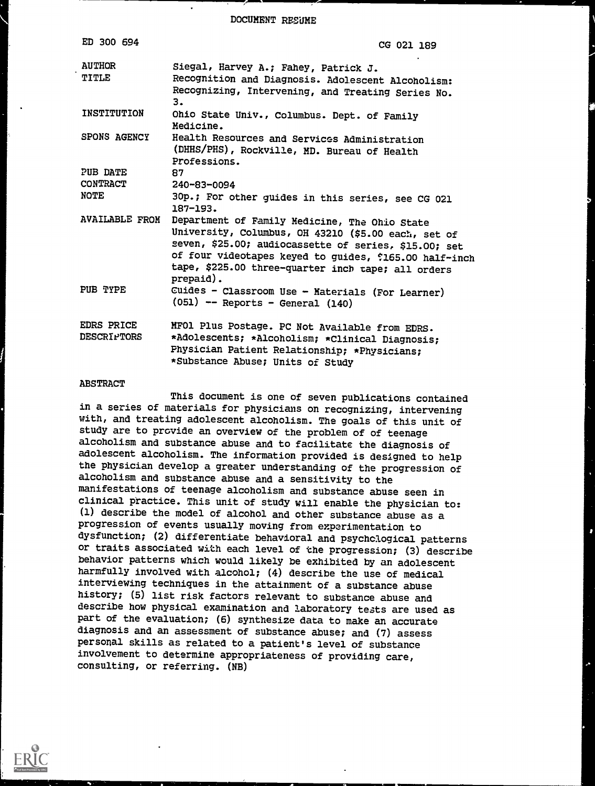DOCUMENT RESUME

| ED 300 694            | CG 021 189                                                        |
|-----------------------|-------------------------------------------------------------------|
| <b>AUTHOR</b>         | Siegal, Harvey A.; Fahey, Patrick J.                              |
| TITLE                 | Recognition and Diagnosis. Adolescent Alcoholism:                 |
|                       | Recognizing, Intervening, and Treating Series No.<br>з.           |
| INSTITUTION           | Ohio State Univ., Columbus. Dept. of Family<br>Medicine.          |
| SPONS AGENCY          | Health Resources and Services Administration                      |
|                       | (DHHS/PHS), Rockville, MD. Bureau of Health                       |
|                       | Professions.                                                      |
| PUB DATE              | 87                                                                |
| <b>CONTRACT</b>       | 240-83-0094                                                       |
| NOTE                  | 30p.; For other guides in this series, see CG 021<br>$187 - 193.$ |
| <b>AVAILABLE FROM</b> | Department of Family Medicine, The Ohio State                     |
|                       | University, Columbus, OH 43210 (\$5.00 each, set of               |
|                       | seven, \$25.00; audiocassette of series, \$15.00; set             |
|                       | of four videotapes keyed to guides, \$165.00 half-inch            |
|                       | tape, \$225.00 three-quarter inch tape; all orders<br>prepaid).   |
| PUB TYPE              | Cuides - Classroom Use - Materials (For Learner)                  |
|                       | $(051)$ -- Reports - General $(140)$                              |
| <b>EDRS PRICE</b>     | MFO1 Plus Postage. PC Not Available from EDRS.                    |
| <b>DESCRIPTORS</b>    | *Adolescents; *Alcoholism; *Clinical Diagnosis;                   |
|                       | Physician Patient Relationship; *Physicians;                      |
|                       | *Substance Abuse; Units of Study                                  |

#### ABSTRACT

This document is one of seven publications contained in a series of materials for physicians on recognizing, intervening with, and treating adolescent alcoholism. The goals of this unit of study are to provide an overview of the problem of of teenage alcoholism and substance abuse and to facilitate the diagnosis of adolescent alcoholism. The information provided is designed to help the physician develop a greater understanding of the progression of alcoholism and substance abuse and a sensitivity to the manifestations of teenage alcoholism and substance abuse seen in clinical practice. This unit of study will enable the physician to: (1) describe the model of alcohol and other substance abuse as a progression of events usually moving from experimentation to dysfunction; (2) differentiate behavioral and psychological patterns or traits associated with each level of the progression;  $(3)$  describe behavior patterns which would likely be exhibited by an adolescent harmfully involved with alcohol; (4) describe the use of medical interviewing techniques in the attainment of a substance abuse history; (5) list risk factors relevant to substance abuse and describe how physical examination and laboratory tests are used as part of the evaluation; (6) synthesize data to make an accurate diagnosis and an assessment of substance abuse; and (7) assess personal skills as related to a patient's level of substance involvement to determine appropriateness of providing care, consulting, or referring. (NB)

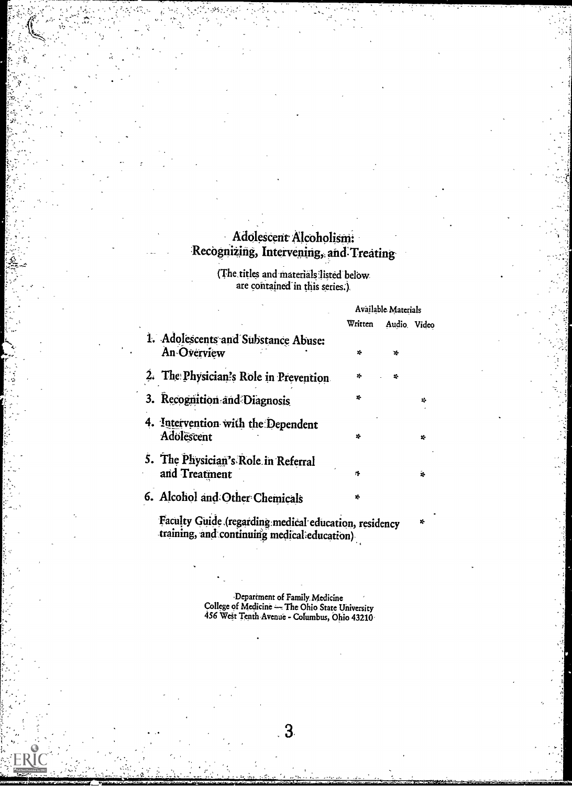## Adolescent Alcoholism: Recognizing, Intervening, and Treating-

-

(The titles and materials listed below are contained in this series:).

|                                                      |              | Available Materials |              |  |  |
|------------------------------------------------------|--------------|---------------------|--------------|--|--|
|                                                      | Written      |                     | Audio. Video |  |  |
| 1. Adolescents and Substance Abuse:<br>An Overview   | $\mathbf{x}$ | ×.                  |              |  |  |
| 2. The Physician's Role in Prevention.               | ×.           | x.                  |              |  |  |
| 3. Recognition and Diagnosis                         | x.           |                     | x.           |  |  |
| 4. Intervention with the Dependent<br>Adolescent     | x.           |                     | ÷            |  |  |
| 5. The Physician's Role in Referral<br>and Treatment | 烽            |                     | ż.           |  |  |
| 6. Alcohol and Other Chemicals                       | *            |                     |              |  |  |

'Facility Guide (regaiding.medical-edtication, residency training, and continuing medical education).

> Department of Family. Medicine College of Medicine - The Ohio State University 456 WeSt Tenth Avenue - Columbus, Ohio 43210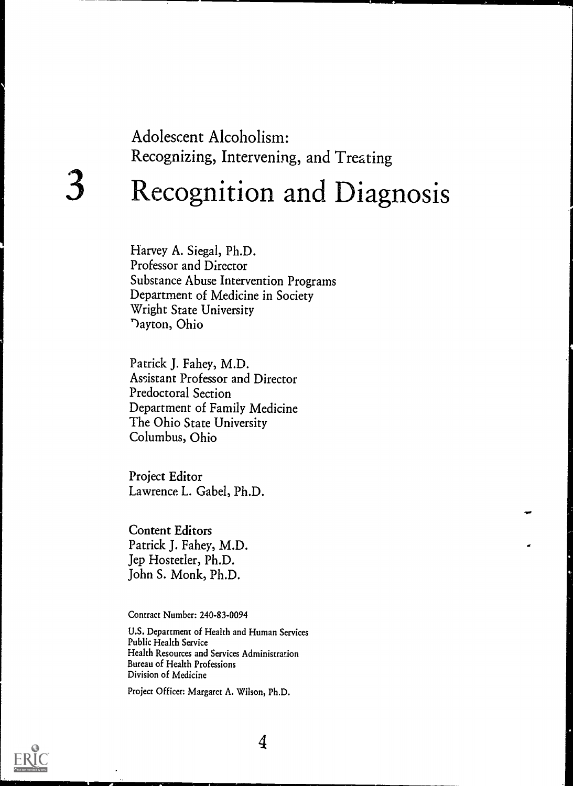## Adolescent Alcoholism: Recognizing, Intervening, and Treating

# Recognition and Diagnosis

Harvey A. Siegal, Ph.D. Professor and Director Substance Abuse Intervention Programs Department of Medicine in Society Wright State University )ayton, Ohio

Patrick J. Fahey, M.D. Assistant Professor and Director Predoctoral Section Department of Family Medicine The Ohio State University Columbus, Ohio

Project Editor Lawrence L. Gabel, Ph.D.

Content Editors Patrick J. Fahey, M.D. Jep Hostetler, Ph.D. John S. Monk, Ph.D.

Contract Number: 240-83-0094

U.S. Department of Health and Human Services Public Health Service Health Resources and Services Administration Bureau of Health Professions Division of Medicine

Project Officer: Margaret A. Wilson, Ph.D.

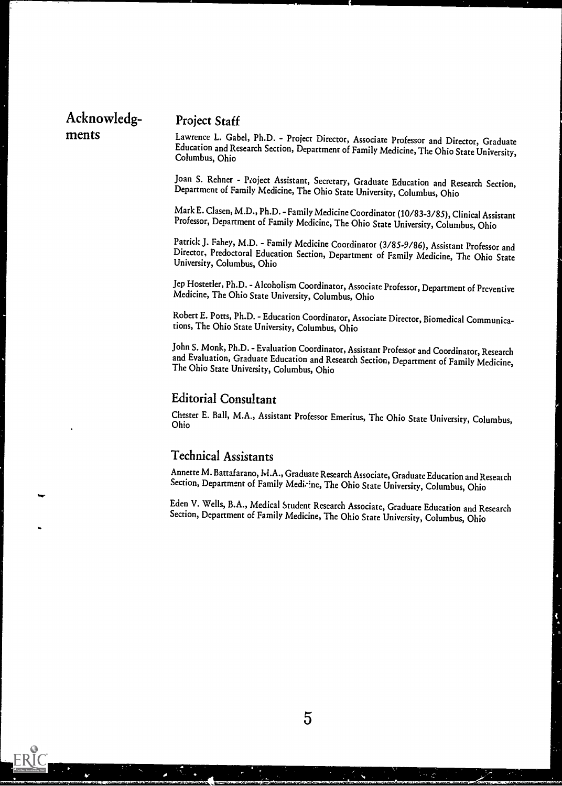## Acknowledg- Project Staff ments Lawrence L. Gabel, Ph.D. - Project Director, Associate Professor and Director, Graduate

Education and Research Section, Department of Family Medicine, The Ohio State University, Columbus, Ohio

Joan S. Rehner - Project Assistant, Secretary, Graduate Education and Research Section, Department of Family Medicine, The Ohio State University, Columbus, Ohio

Mark E. Clasen, M.D., Ph.D.- Family Medicine Coordinator (10/83-3/85), Clinical Assistant Professor, Department of Family Medicine, The Ohio State University, Columbus, Ohio

Patrick J. Fahey, M.D. - Family Medicine Coordinator (3/85-9/86), Assistant Professor and Director, Predoctoral Education Section, Department of Family Medicine, The Ohio State University, Columbus, Ohio

Jep Hostetler, Ph.D. - Alcoholism Coordinator, Associate Professor, Department of Preventive Medicine, The Ohio State University, Columbus, Ohio

Robert E. Potts, Ph.D. - Education Coordinator, Associate Director, Biomedical Communications, The Ohio State University, Columbus, Ohio

John S. Monk, Ph.D. - Evaluation Coordinator, Assistant Professor and Coordinator, Research and Evaluation, Graduate Education and Research Section, Department of Family Medicine, The Ohio State University, Columbus, Ohio

#### Editorial Consultant

Chester E. Ball, M.A., Assistant Professor Emeritus, The Ohio State University, Columbus, Ohio

#### Technical Assistants

Annette M. Battafarano, IvI.A., Graduate Research Associate,Graduate Education and Reseatch Section, Department of Family Medicine, The Ohio State University, Columbus, Ohio

Eden V. Wells, B.A., Medical Student Research Associate, Graduate Education and Research Section, Department of Family Medicine, The Ohio State University, Columbus, Ohio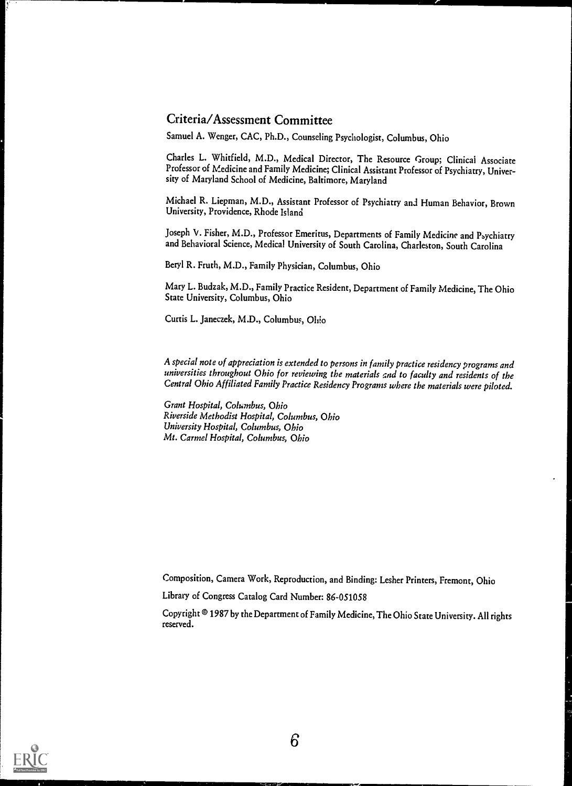#### Criteria/Assessment Committee

Samuel A. Wenger, CAC, Ph.D., Counseling Psychologist, Columbus, Ohio

Charles L. Whitfield, M.D., Medical Director, The Resource Group; Clinical Associate Professor of Medicine and Family Medicine; Clinical Assistant Professor of Psychiatry, University of Maryland School of Medicine, Baltimore, Maryland

Michael R. Liepman, M.D., Assistant Professor of Psychiatry and Human Behavior, Brown University, Providence, Rhode Island

Joseph V. Fisher, M.D., Professor Emeritus, Departments of Family Medicine and Psychiatry and Behavioral Science, Medical University of South Carolina, Charleston, South Carolina

Beryl R. Fruth, M.D., Family Physician, Columbus, Ohio

Mary L. Budzak, M.D., Family Practice Resident, Department of Family Medicine, The Ohio State University, Columbus, Ohio

Curtis L. Janeczek, M.D., Columbus, Ohio

A special note of appreciation is extended to persons in family practice residency programs and universities throughout Ohio for reviewing the materials and to faculty and residents of the Central Ohio Affiliated Family Practice Residency Programs where the materials were piloted.

Grant Hospital, Columbus, Ohio Riverside Methodist Hospital, Columbus, Ohio University Hospital, Columbus, Ohio Mt. Carmel Hospital, Columbus, Ohio

Composition, Camera Work, Reproduction, and Binding: Lesher Printers, Fremont, Ohio

Library of Congress Catalog Card Number: 86-051058

Copyright @ 1987 by the Department of Family Medicine, The Ohio State University. All rights reserved.

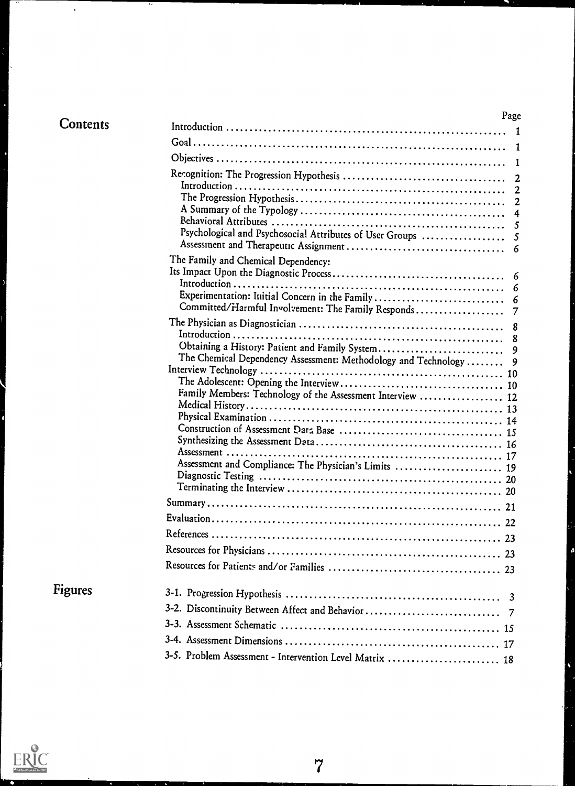| <b>Contents</b> |
|-----------------|
|-----------------|

 $\bullet$ 

|                                                                | Page           |
|----------------------------------------------------------------|----------------|
|                                                                | 1              |
|                                                                | 1              |
|                                                                | 1              |
|                                                                | 2              |
|                                                                | $\overline{2}$ |
|                                                                | $\overline{2}$ |
|                                                                | 4              |
|                                                                | 5              |
| Psychological and Psychosocial Attributes of User Groups       | 5              |
|                                                                | 6              |
| The Family and Chemical Dependency:                            |                |
|                                                                | 6              |
| Experimentation: Iuitial Concern in the Family                 | 6<br>6         |
| Committed/Harmful Involvement: The Family Responds             | 7              |
|                                                                | 8              |
|                                                                | 8              |
| Obtaining a History: Patient and Family System                 | 9              |
| The Chemical Dependency Assessment: Methodology and Technology | 9              |
|                                                                |                |
| Family Members: Technology of the Assessment Interview  12     |                |
|                                                                |                |
|                                                                |                |
|                                                                |                |
|                                                                |                |
|                                                                |                |
| Assessment and Compliance: The Physician's Limits  19          |                |
|                                                                |                |
|                                                                |                |
|                                                                |                |
|                                                                |                |
|                                                                |                |
|                                                                |                |
|                                                                |                |
|                                                                |                |
|                                                                |                |
|                                                                |                |
|                                                                |                |
|                                                                |                |
| 3-5. Problem Assessment - Intervention Level Matrix  18        |                |
|                                                                |                |



Figures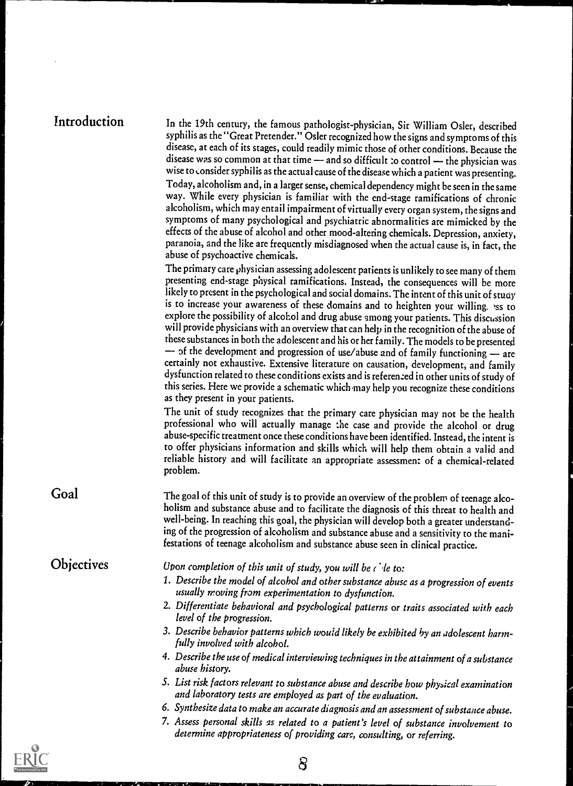| Introduction |  |
|--------------|--|
|              |  |

Introduction In the 19th century, the famous pathologist-physician, Sir William Osler, described syphilis as the "Great Pretender." Osler recognized how the signs and symptoms of this disease, at each of its stages, could readily mimic those of other conditions. Because the disease was so common at that time  $-$  and so difficult :o control  $-$  the physician was wise to consider syphilis as the actual cause of the disease which a patient was presenting. Today, alcoholism and, in a larger sense, chemical dependency might be seen in the same way. While every physician is familiar with the end-stage ramifications of chronic alcoholism, which may entail impairment of virtually every organ system, the signs and symptoms of many psychological and psychiatric abnormalities are mimicked by the effects of the abuse of alcohol and other mood-altering chemicals. Depression, anxiety, paranoia, and the like are frequently misdiagnosed when the actual cause is, in fact, the abuse of psychoactive chemicals.

> The primary care physician assessing adolescent patients is unlikely to see many of them presenting end-stage physical ramifications. Instead, the consequences will be more likely to present in the psychological and social domains. The intent of this unit of study is to increase your awareness of these domains and to heighten your willing. 'ss to explore the possibility of alcohol and drug abuse among your patients. This discussion will provide physicians with an overview that can help in the recognition of the abuse of these substances in both the adolescent and his or her family. The models to be presented  $-$  of the development and progression of use/abuse and of family functioning  $-$  are certainly not exhaustive. Extensive literature on causation, development, and family dysfunction related to these conditions exists and is refereneed in other units of study of this series. Here we provide a schematic which may help you recognize these conditions as they present in your patients.

> The unit of study recognizes that the primary care physician may not be the health professional who will actually manage the case and provide the alcohol or drug abuse-specific treatment once these conditions have been identified. Instead, the intent is to offer physicians information and skills which will help them obtain a valid and reliable history and will facilitate an appropriate assessment of a chemical-related problem.

Goal The goal of this unit of study is to provide an overview of the problem of teenage alcoholism and substance abuse and to facilitate the diagnosis of this threat to health and well-being. In reaching this goal, the physician will develop both a greater understanding of the progression of alcoholism and substance abuse and a sensitivity to the manifestations of teenage alcoholism and substance abuse seen in clinical practice.

**Objectives** 

Upon completion of this unit of study, you will be  $\ell$  is to:

- 1. Describe the model of alcohol and other substance abuse as a progression of events usually moving from experimentation to dysfunction.
- 2. Differentiate behavioral and psychological patterns or traits associated with each level of the progression.
- 3. Describe behavior patterns which would likely be exhibited by an adolescent harmfully involved with alcohol.
- 4. Describe the use of medical interviewing techniques in the attainment of a substance abuse history.
- S. List risk factors relevant to substance abuse and describe how physical examination and laboratory tests are employed as part of the evaluation.
- 6. Synthesize data to make an accurate diagnosis and an assessment of substance abuse.
- 7. Assess personal skills as related to a patient's level of substance involvement to determine appropriateness of providing care, consulting, or referring.

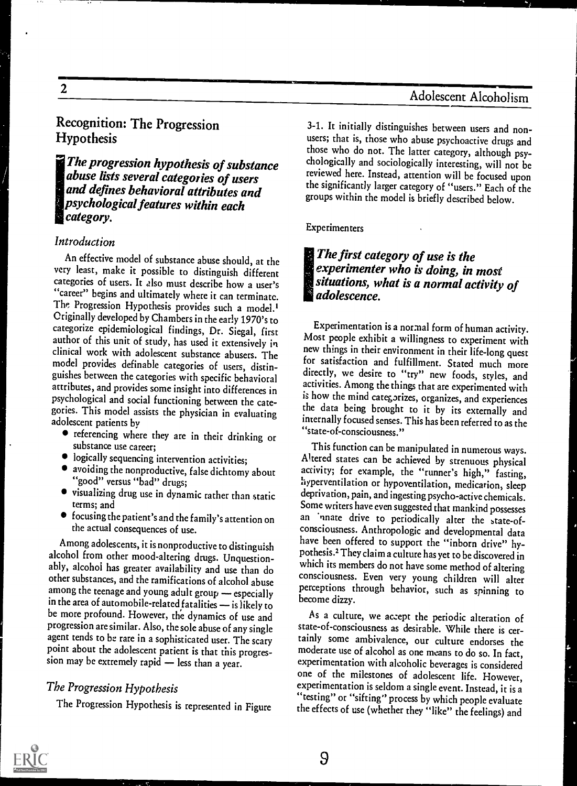## Recognition: The Progression Hypothesis

IThe progression hypothesis of substance abuse lists several categories of users and defines behavioral attributes and psychological features within each category.

#### Introduction

An effective model of substance abuse should, at the very least, make it possible to distinguish different categories of users. It also must describe how a user's "career" begins and ultimately where it can terminate. The Progression Hypothesis provides such a model.' Originally developed by Chambers in the early 1970's to<br>categorize epidemiological findings. Dr. Siegal. first Experimentation is a normal form of human activity. author of this unit of study, has used it extensively in their epipe exhibit a willingness to experiment with<br>clinical work with adolescent substance showers The new things in their environment in their life-long quest clinical work with adolescent substance abusers. The model provides definable categories of users, distinattributes, and provides some insight into differences in psychological and social functioning between the categories. This model assists the physician in evaluating adolescent patients by

- referencing where they are in their drinking or substance use career;
- logically sequencing intervention activities;
- "good" versus "bad" drugs;
- terms; and
- focusing the patient's and the family's attention on the actual consequences of use.

Among adolescents, it is nonproductive to distinguish alcohol from other mood-altering drugs. Unquestionably, alcohol has greater availability and use than do other substances, and the ramifications of alcohol abuse among the teenage and young adult group  $-$  especially in the area of automobile-related fatalities  $-$  is likely to be more profound. However, the dynamics of use and<br>progression are similar. Also, the sole abuse of any single agent tends to be rare in a sophisticated user. The scary point about the adolescent patient is that this progression may be extremely rapid - less than a year.

#### The Progression Hypothesis

The Progression Hypothesis is represented in Figure

3-1. It initially distinguishes between users and nonusers; that is, those who abuse psychoactive drugs and those who do not. The latter category, although psychologically and sociologically interesting, will not be reviewed here. Instead, attention will be focused upon the significantly larger category of "users." Each of the groups within the model is briefly described below.

#### Experimenters

IThe first category of use is the experimenter who is doing, in most situations, what is a normal activity of adolescence.

Most people exhibit a willingness to experiment with for satisfaction and fulfillment. Stated much more directly, we desire to "try" new foods, styles, and activities. Among the things that are experimented with is how the mind categorizes, organizes, and experiences the data being brought to it by its externally and internally focused senses. This has been referred to as the "state-of-consciousness."

• avoiding the nonproductive, false dichtomy about activity; for example, the "runner's high," fasting, "good" versus "bad" drugs; • visualizing drug use in dynamic rather than static deprivation, pain, and ingesting psycho-active chemicals.<br>Some writers have even suggested that mankind possesses This function can be manipulated in numerous ways.<br>Altered states can be achieved by strenuous physical activity; for example, the "runner's high," fasting, deprivation, pain, and ingesting psycho-active chemicals. an 'nnate drive to periodically alter the state-ofconsciousness. Anthropologic and developmental data have been offered to support the "inborn drive" hypothesis.1They claim a culture has yet to be discovered in which its members do not have some method of altering consciousness. Even very young children will alter perceptions through behavior, such as spinning to become dizzy.

> As a culture, we accept the periodic alteration of state-of-consciousness as desirable. While there is certainly some ambivalence, our culture endorses the moderate use of alcohol as one means to do so. In fact, experimentation with alcoholic beverages is considered one of the milestones of adolescent life. However, experimentation is seldom a single event. Instead, it is a "testing" or "sifting" process by which people evaluate the effects of use (whether they "like" the feelings) and

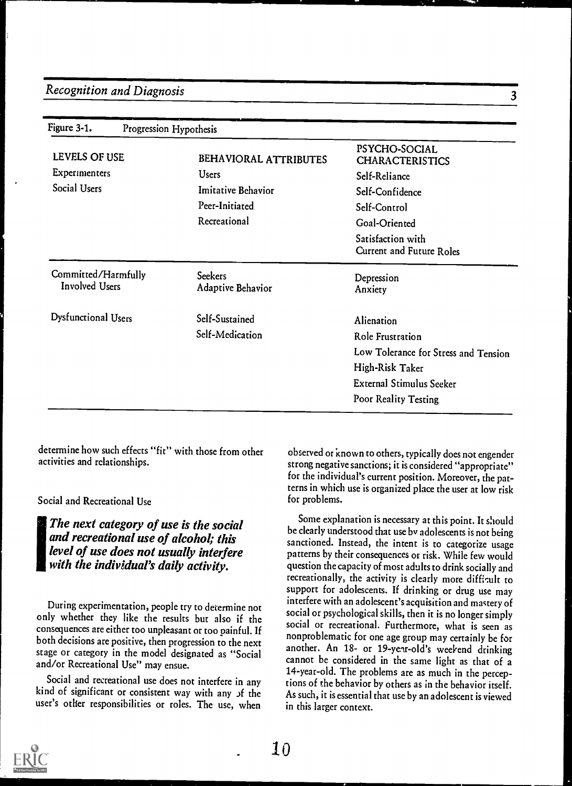| Figure 3-1.                                  | Progression Hypothesis |                                     |                                                      |
|----------------------------------------------|------------------------|-------------------------------------|------------------------------------------------------|
| LEVELS OF USE                                |                        | BEHAVIORAL ATTRIBUTES               | PSYCHO-SOCIAL<br><b>CHARACTERISTICS</b>              |
| Experimenters<br>Social Users                |                        | <b>Users</b>                        | Self-Reliance                                        |
|                                              |                        | Imitative Behavior                  | Self-Confidence                                      |
|                                              |                        | Peer-Initiated                      | Self-Control                                         |
|                                              |                        | Recreational                        | Goal-Oriented                                        |
|                                              |                        |                                     | Satisfaction with<br><b>Current and Future Roles</b> |
| Committed/Harmfully<br><b>Involved Users</b> |                        | <b>Seekers</b><br>Adaptive Behavior | Depression<br>Anxiety                                |
| Dysfunctional Users                          |                        | Self-Sustained                      | Alienation                                           |
|                                              |                        | Self-Medication                     | Role Frustration                                     |
|                                              |                        |                                     | Low Tolerance for Stress and Tension                 |
|                                              |                        |                                     | High-Risk Taker                                      |
|                                              |                        |                                     | <b>External Stimulus Seeker</b>                      |
|                                              |                        |                                     | Poor Reality Testing                                 |

determine how such effects "fit" with those from other activities and relationships.

Social and Recreational Use

The next category of use is the social and recreational use of alcohol; this level of use does not usually interfere with the individual's daily activity.

During experimentation, people try to determine not only whether they like the results but also if the consequences are either too unpleasant or too painful. If both decisions are positive, then progression to the next stage or category in the model designated as "Social and/or Recreational Use" may ensue.

Social and recreational use does not interfere in any kind of significant or consistent way with any of the user's other responsibilities or roles. The use, when

observed or known to others, typically does not engender strong negative sanctions; it is considered "appropriate" for the individual's current position. Moreover, the patterns in which use is organized place the user at low risk for problems.

Some explanation is necessary at this point. It should be clearly understood that use by adolescents is not being sanctioned. Instead, the intent is to categorize usage patterns by their consequences or risk. While few would question the capacity of most adults to drink socially and recreationally, the activity is clearly more difficult to support for adolescents. If drinking or drug use may interfere with an adolescent's acquisition and mastery of social or psychological skills, then it is no longer simply social or recreational. Furthermore, what is seen as nonproblematic for one age group may certainly be for another. An 18- or 19-year-old's weekend drinking cannot be considered in the same light as that of a 14-year-old. The problems are as much in the perceptions of the behavior by others as in the behavior itself. As such, it is essential that use by an adolescent is viewed in this larger context.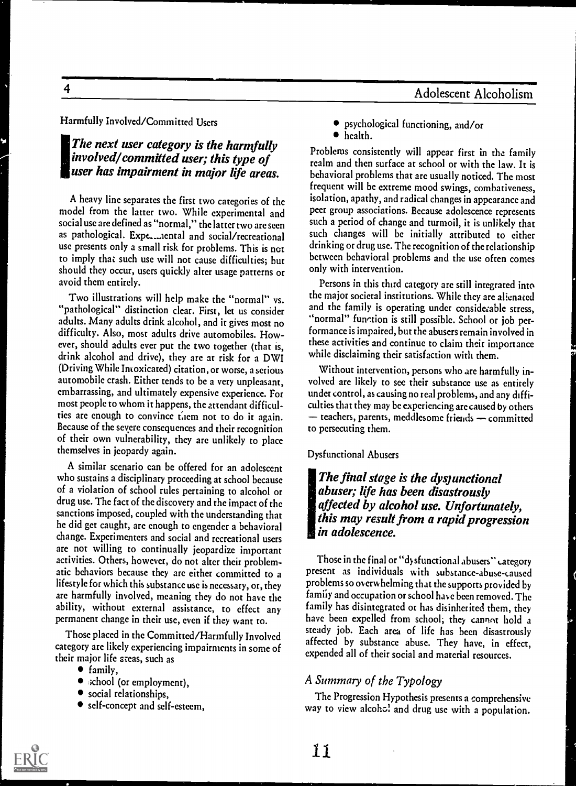Harmfully Involved/Committed Users

#### The next user category is the harmfully involved/committed user; this type of user has impairment in major life areas.

A heavy line separates the first two categories of the model from the latter two. While experimental and social use are defined as "normal," the latter two are seen as pathological. Expe.....iental and social/recreational use presents only a small risk for problems. This is net to imply that such use will not cause difficulties; but should they occur, users quickly alter usage patterns or avoid them entirely.

Two illustrations will help make the "normal" vs. "pathological" distinction clear. First, let us consider adults. Many adults drink alcohol, and it gives most no difficulty. Also, most adults drive automobiles. However, should adults ever put the two together (that is, drink alcohol and drive), they arc at risk for a DWI (Driving While Intoxicated) citation, or worse, a serious automobile crash. Either tends to be a very unpleasant, embarrassing, and ultimately expensive experience. For most people to whom it happens, the attendant difficulties are enough to convince them not to do it again. Because of the severe consequences and their recognition of their own vulnerability, they arc unlikely to place themselves in jeopardy again.

A similar scenario can be offered for an adolescent who sustains a disciplinary proceeding at school because of a violation of school rules pertaining to alcohol or drug use. The fact of the discovery and the impact of the sanctions imposed, coupled with the understanding that he did get caught, are enough to engender a behavioral are not willing to continually jeopardize important activities. Others, however, do not alter their problematic behaviors because they arc either committed to a lifestyle for which this substanceuse is necessary, or, they arc harmfully involved, meaning they do not have the ability, without external assistance, to effect any permanent change in their use, even if they want to.

Those placed in the Committed/Harmfully Involved category arc likely experiencing impairments in some of their major life areas, such as

- family,
- $\bullet$  school (or employment),
- social relationships,
- self-concept and self-esteem,
- psychological functioning, and/or
- health.

Problems consistently will appear first in the family realm and then surface at school or with the law. It is behavioral problems that are usually noticed. The most frequent will be extreme mood swings, combativeness, isolation, apathy, and radical changes in appearance and peer group associations. Because adolescence represents such a period of change and turmoil, it is unlikely that such changes will be initially attributed to either drinking or drug use. The recognition of the relationship between behavioral problems and the use often comes only with intervention.

Persons in this third category are still integrated into the major societal institutions. While they are alienated and the family is operating under considerable stress, "normal" function is still possible. School or job performance is impaired, but the abusers remain involved in these activities and continue to claim their importance while disclaiming their satisfaction with them.

Without intervention, persons who arc harmfully involved arc likely to sec their substance use as entirely under control, as causing no real problems, and any difficulties that they may be experiencing arc caused by others  $-$  teachers, parents, meddlesome friends  $-$  committed to persecuting them.

Dysfunctional Abusers

The final stage is the dysjunctional abuser; life has been disastrously affected by alcohol use. Unfortunately, this may result from a rapid progression in adolescence.

Those in the final or "dysfunctional abusers" category present as individuals with substance-abuse-caused problems so overwhelming that the supports provided by family and occupation or school have been removed. The family has disintegrated or has disinherited them, they have been expelled from school; they cannot hold a steady job. Each area of life has been disastrously affected by substance abuse. They have, in effect, expended all of their social and material resources.

#### A Summary of the Typology

The Progression Hypothesis presents a comprehensive way to view alcoho! and drug use with a population.



 $\overline{\mathbf{4}}$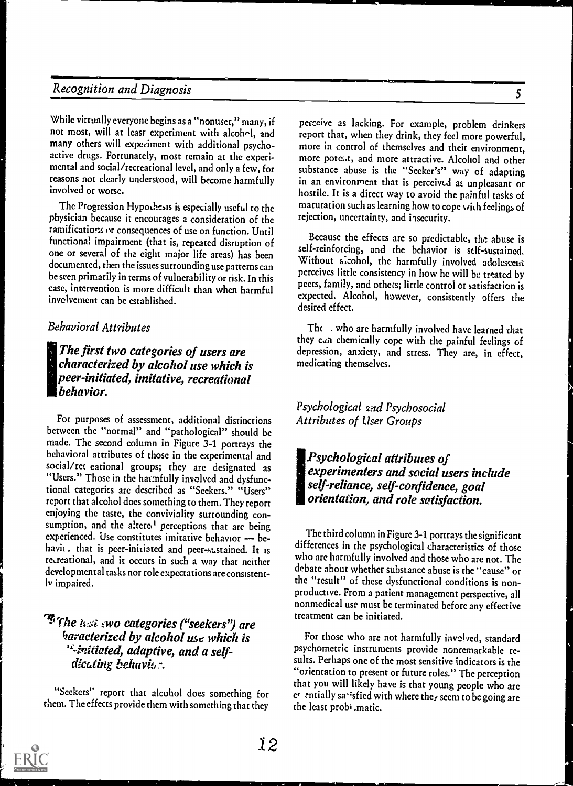While virtually everyone begins as a "nonuser," many, if not most, will at leasr experiment with alcohol, and many others will experiment with additional psychoactive drugs. Fortunately, most remain at the experimental and social/recreational level, and only a few, for reasons not clearly understood, will become harmfully involved or worse.

The Progression Hypothesis is especially useful to the physician because it encourages a consideration of the ramifications or consequences of use on function. Until functional impairment (that is, repeated disruption of one or several of the eight major life areas) has been documented, then the issues surrounding use patterns can be seen primarily in terms of vulnerability or risk. In this case, intervention is more difficult than when harmful invelvement can be established.

#### Behavioral Attributes

The first two categories of users are characterized by alcohol use which is peer-initiated, imitative, recreational behavior.

For purposes of assessment, additional distinctions between the "normal" and "pathological" should be made. The second column in Figure 3-1 portrays the behavioral attributes of those in the experimental and social/re( eational groups; they are designated as "Users." Those in the harmfully involved and dysfunctional categories are described as "Seekers." "Users" report that alcohol does something to them. They report enjoying the taste, the conviviality surrounding consumption, and the altered perceptions that are being experienced. Use constitutes imitative behavior -- behavit. that is peer-initiated and peer-sustained. It is recreational, and it occurs in such a way that neither developmental tasks nor role expectations are consistently impaired.

#### *F* The *ist* swo categories ("seekers") are haracterized by alcohol use which is '-initiated, adaptive, and a self $disting$  behavior,

"Seekers" report that alcohol does something for them. The effects provide them with something that they

pecceive as lacking. For example, problem drinkers report that, when they drink, they feel more powerful, more in control of themselves and their environment, more poteut, and more attractive. Alcohol and other substance abuse is the "Seeker's" way of adapting in an environment that is perceived as unpleasant or hostile. It is a direct way to avoid the painful tasks of maturation such as learning how to cope with feelings of rejection, uncertainty, and insecurity.

Because the effects are so predictable, the abuse is self-reinforcing, and the behavior is self-sustained. Without alcohol, the harmfully involved adolescent perceives little consistency in how he will be treated by peers, family, and others; little control or satisfaction is expected. Alcohol, however, consistently offers the desired effect.

The who are harmfully involved have learned that they can chemically cope with the painful feelings of depression, anxiety, and stress. They arc, in effect, medicating themselves.

#### Psychological and Psychosocial Attributes of User Groups

Psychological attributes of experimenters and social users include self-reliance, self-confidence, goal orientation, and role satisfaction.

The third column in Figure 3-1 portrays the significant differences in the psychological characteristics of those who are harmfully involved and those who are not. The debate about whether substance abuse is the "cause" or the "result" of these dysfunctional conditions is nonproductive. From a patient management perspective, all nonmedical use must be terminated before any effective treatment can be initiated.

For those who are not harmfully involved, standard psychometric instruments provide nonremarkable results. Perhaps one of the most sensitive indicators is the "orientation to present or future roles." The perception that you will likely have is that young people who are er entially satisfied with where they seem to be going are the least probi,matic.

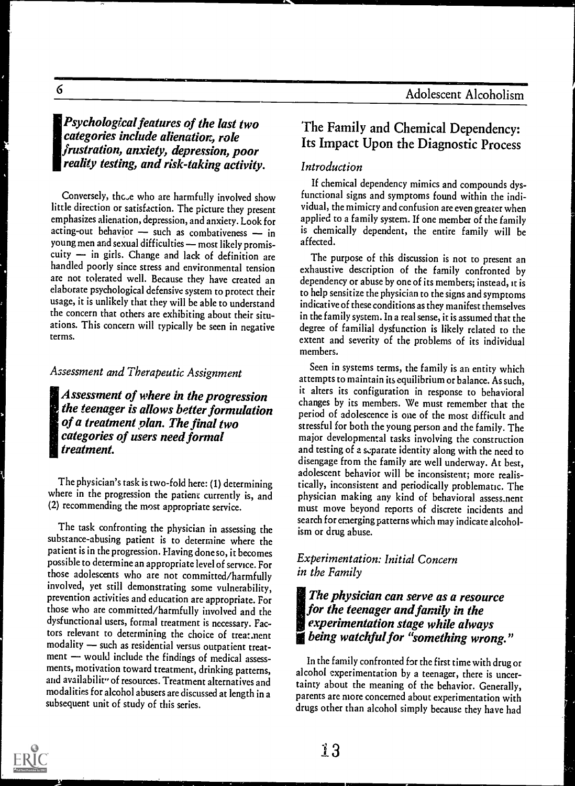#### !Psychological features of the last two categories include alienation, role frustration, anxiety, depression, poor reality testing, and risk-taking activity.

Conversely, thc,e who are harmfully involved show little direction or satisfaction. The picture they present emphasizes alienation, depression, and anxiety. Look for acting-out behavior  $-$  such as combativeness  $-$  in young men and sexual difficulties - most likely promiscuity  $-$  in girls. Change and lack of definition are handled poorly since stress and environmental tension are not tolerated well. Because they have created an elaborate psychological defensive system to protect their usage, it is unlikely that they will be able to understand the concern that others are exhibiting about their situations. This concern will typically be seen in negative terms.

#### Assessment and Therapeutic Assignment

Assessment of where in the progression the teenager is allows better formulation of a treatment plan. The final two categories of users need formal treatment.

The physician's task is two-fold here: (1) determining where in the progression the patient currently is, and (2) recommending the most appropriate service.

The task confronting the physician in assessing the substance-abusing patient is to determine where the patient is in the progression. Having doneso, it becomes possible to determine an appropriate level of service. For those adolescents who are not committed/harmfully involved, yet still demonstrating some vulnerability, prevention activities and education are appropriate. For those who are committed/harmfully involved and the dysfunctional users, formal treatment is necessary. Factors relevant to determining the choice of treat.nent modality - such as residential versus outpatient treat $ment$   $-$  would include the findings of medical assessments, motivation toward treatment, drinking patterns, and availabilit" of resources. Treatment alternatives and modalities for alcohol abusers are discussed at length in a subsequent unit of study of this series.

### The Family and Chemical Dependency: Its Impact Upon the Diagnostic Process

#### Introduction

If chemical dependency mimics and compounds dysfunctional signs and symptoms found within the individual, the mimicry and confusion are even greater when applied to a family system. If one member of the family is chemically dependent, the entire family will be affected.

The purpose of this discussion is not to present an exhaustive description of the family confronted by dependency or abuse by one of its members; instead, it is to help sensitize the physician to the signs and symptoms indicative of these conditions as they manifest themselves in the family system. In a real sense, it is assumed that the degree of familial dysfunction is likely related to the extent and severity of the problems of its individual members.

Seen in systems terms, the family is an entity which attempts to maintain its equilibrium or balance. As such, it alters its configuration in response to behavioral changes by its members. We must remember that the period of adolescence is one of the most difficult and stressful for both the young person and the family. The major developmental tasks involving the construction and testing of a separate identity along with the need to disengage from the family are well underway. At best, adolescent behavior will be inconsistent; more realistically, inconsistent and periodically problematic. The physician making any kind of behavioral assess.nent must move beyond reports of discrete incidents and search for emerging patterns which may indicate alcoholism or drug abuse.

#### Experimentation: Initial Concern in the Family

#### IThe physician can serve as a resource for the teenager and family in the experimentation stage while always **g** being watchful for "something wrong."

In the family confronted for the first time with drug or alcohol experimentation by a teenager, there is uncertainty about the meaning of the behavior. Generally, parents are more concerned about experimentation with drugs other than alcohol simply because they have had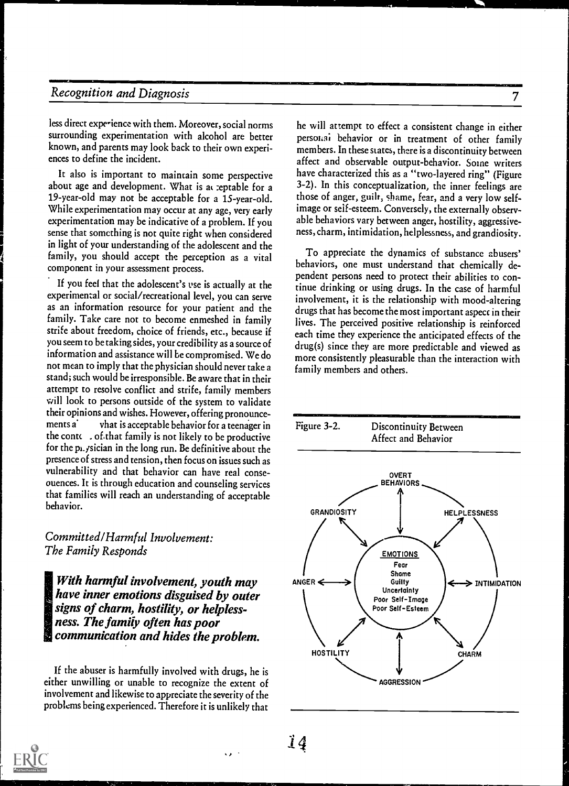<u>WANDELS VAN DE STATE VA</u>

less direct experience with them. Moreover, social norms surrounding experimentation with alcohol are better known, and parents may look back to their own experiences to define the incident.

It also is important to maintain some perspective about age and development. What is at reptable for a 19-year-old may not be acceptable for a 1S-year-old. While experimentation may occur at any age, very early experimentation may be indicative of a problem. If you sense that something is not quite right when considered in light of your understanding of the adolescent and the family, you should accept the perception as a vital component in your assessment process.

If you feel that the adolescent's use is actually at the experimental or social/recreational level, you can serve as an information resource for your patient and the family. Take care not to become enmeshed in family strife about freedom, choice of friends, etc., because if you seem to be taking sides, your credibility as a source of information and assistance will be compromised. We do not mean to imply that the physician should never take a stand; such would be irresponsible. Be aware that in their attempt to resolve conflict and strife, family members will look to persons outside of the system to validate their opinions and wishes. However, offering pronounce $v$ hat is acceptable behavior for a teenager in Figure 3-2. the conte  $\cdot$  of that family is not likely to be productive for the pi. *j*sician in the long run. Be definitive about the presence of stress and tension, then focus on issues such as vulnerability and that behavior can have real conseouences. It is through education and counseling services that families will reach an understanding of acceptable behavior.

Committed /Harmful Involvement: The Family Responds

With harmful involvement, youth may have inner emotions disguised by outer signs of charm, hostility, or helplessness. The family often has poor communication and hides the problem.

If the abuser is harmfully involved with drugs, he is either unwilling or unable to recognize the extent of involvement and likewise to appreciate the severity of the problems being experienced. Therefore it is unlikely that

he will attempt to effect a consistent change in either personai behavior or in treatment of other family members. In these states, there is a discontinuity between affect and observable output-behavior. Some writers have characterized this as a "two-layered ring" (Figure 3-2). In this conceptualization, the inner feelings are those of anger, guilt; shame, fear, and a very low selfimage or self-esteem. Conversely, the externally observable behaviors vary between anger, hostility, aggressiveness, charm, intimidation, helplessness, and grandiosity.

To appreciate the dynamics of substance abusers' behaviors, one must understand that chemically dependent persons need to protect their abilities to continue drinking or using drugs. In the case of harmful involvement, it is the relationship with mood-altering drugs that has become the most important aspect in their lives. The perceived positive relationship is reinforced each time they experience the anticipated effects of the drug(s) since they are more predictable and viewed as more consistently pleasurable than the interaction with family members and others.



 $14$ 

 $\sqrt{2}$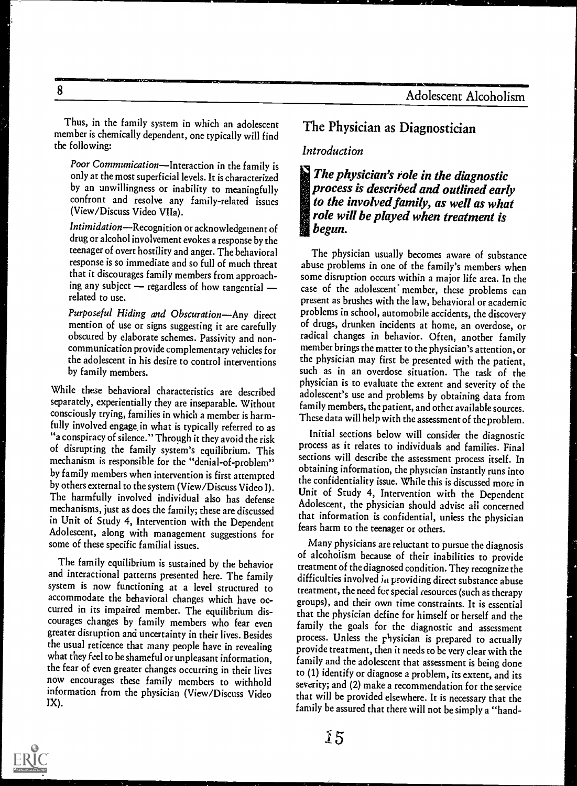Thus, in the family system in which an adolescent member is chemically dependent, one typically will find the following:

Poor Communication-Interaction in the family is only at the most superficial levels. It is characterized by an unwillingness or inability to meaningfully confront and resolve any family-related issues (View/Discuss Video VIIa).

Intimidation-Recognition or acknowledgement of drug or alcohol involvement evokes a response by the teenager of overt hostility and anger. The behavioral response is so immediate and so full of much threat that it discourages family members from approaching any subject  $-$  regardless of how tangential  $$ related to use.

Purposeful Hiding and Obscuration-Any direct mention of use or signs suggesting it are carefully obscured by elaborate schemes. Passivity and noncommunication provide complementary vehicles for the adolescent in his desire to control interventions by family members.

While these behavioral characteristics are described separately, experientially they are inseparable. Without consciously trying, families in which a member is harmfully involved engage, in what is typically referred to as "a conspiracy of silence." Through it they avoid the risk of disrupting the family system's equilibrium. This mechanism is responsible for the "denial-of-problem" by family members when intervention is first attempted by others external to the system (View/Discuss Video I). The harmfully involved individual also has defense mechanisms, just as does the family; these are discussed in Unit of Study 4, Intervention with the Dependent Adolescent, along with management suggestions for some of these specific familial issues.

The family equilibrium is sustained by the behavior and interactional patterns presented here. The family system is now functioning at a level structured to accommodate the behavioral changes which have occurred in its impaired member. The equilibrium discourages changes by family members who fear even greater disruption and uncertainty in their lives. Besides the usual reticence that many people have in revealing what they feel to be shameful or unpleasant information, the fear of even greater changes occurring in their lives now encourages these family members to withhold information from the physician (View/Discuss Video IX).

## The Physician as Diagnostician

#### Introduction

The physician's role in the diagnostic process is described and outlined early to the involved family, as well as what role will be played when treatment is begun.

The physician usually becomes aware of substance abuse problems in one of the family's members when some disruption occurs within a major life area. In the case of the adolescent member, these problems can present as brushes with the law, behavioral or academic problems in school, automobile accidents, the discovery of drugs, drunken incidents at home, an overdose, or radical changes in behavior. Often, another family member brings the matter to the physician's attention, or the physician may first be presented with the patient, such as in an overdose situation. The task of the physician is to evaluate the extent and severity of the adolescent's use and problems by obtaining data from family members, the patient, and other available sources. These data will help with the assessment of the problem.

Initial sections below will consider the diagnostic process as it relates to individuals and families. Final sections will describe the assessment process itself. In obtaining information, the physician instantly runs into the confidentiality issue. While this is discussed more in Unit of Study 4, Intervention with the Dependent Adolescent, the physician should advise all concerned that information is confidential, unless the physician fears harm to the teenager or others.

Many physicians are reluctant to pursue the diagnosis of alcoholism because of their inabilities to provide treatment of the diagnosed condition. They recognize the difficulties involved iu providing direct substance abuse treatment, the need for special resources (such as therapy groups), and their own time constraints. It is essential that the physician define for himself or herself and the family the goals for the diagnostic and assessment process. Unless the physician is prepared to actually provide treatment, then it needs to be very clear with the family and the adolescent that assessment is being done to (1) identify or diagnose a problem, its extent, and its severity; and (2) make a recommendation for the service that will be provided elsewhere. It is necessary that the family be assured that there will not be simply a "hand-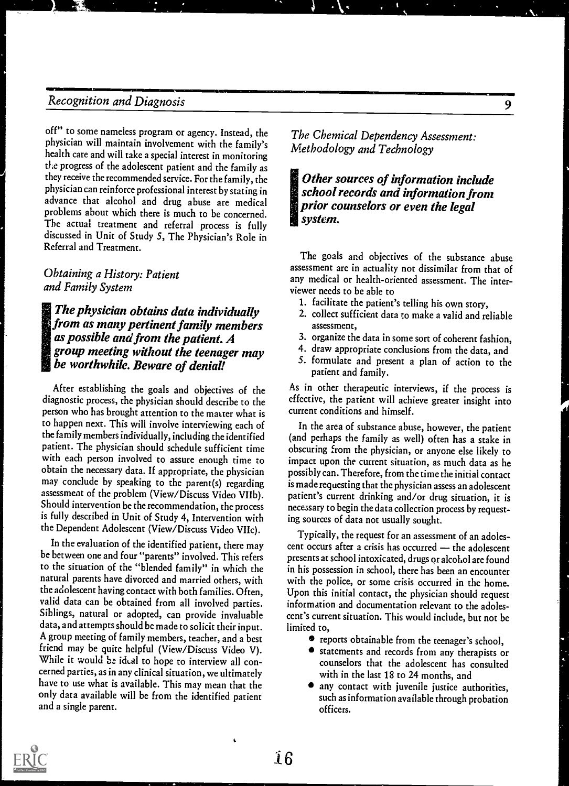off" to some nameless program or agency. Instead, the physician will maintain involvement with the family's health care and will take a special interest in monitoring the progress of the adolescent patient and the family as they receive the recommended service. For the family, the physician can reinforce professional interest by stating in advance that alcohol and drug abuse are medical problems about which there is much to be concerned. The actual treatment and referral process is fully discussed in Unit of Study 5, The Physician's Role in Referral and Treatment.

#### Obtaining a History: Patient and Family System

IThe physician obtains data individually from as many pertinent family members as possible and from the patient. A group meeting without the teenager may be worthwhile. Beware of denial!

After establishing the goals and objectives of the diagnostic process, the physician should describe to the person who has brought attention to the matter what is to happen next. This will involve interviewing each of the family members individually, including the identified patient. The physician should schedule sufficient time with each person involved to assure enough time to obtain the necessary data. If appropriate, the physician may conclude by speaking to the parent(s) regarding assessment of the problem (View/Discuss Video VIIb). Should intervention be the recommendation, the process is fully described in Unit of Study 4, Intervention with the Dependent Adolescent (View/Discuss Video VIIc).

In the evaluation of the identified patient, there may be between one and four "parents" involved. This refers to the situation of the "blended family" in which the natural parents have divorced and married others, with the adolescent having contact with both families. Often, valid data can be obtained from all involved parties. Siblings, natural or adopted, can provide invaluable data, and attempts should be made to solicit their input. A group meeting of family members, teacher, and a best friend may be quite helpful (View/Discuss Video V). While it would be ideal to hope to interview all concerned parties, as in any clinical situation, we ultimately have to use what is available. This may mean that the only data available will be from the identified patient and a single parent.

The Chemical Dependency Assessment: Methodology and Technology

'Other sources of information include school records and information front prior counselors or even the legal system.

The goals and objectives of the substance abuse assessment are in actuality not dissimilar from that of any medical or health-oriented assessment. The interviewer needs to be able to

- 1. facilitate the patient's telling his own story,
- 2. collect sufficient data to make a valid and reliable assessment,
- 3. organize the data in some sort of coherent fashion,
- 4. draw appropriate conclusions from the data, and
- 5. formulate and present a plan of action to the patient and family.

As in other therapeutic interviews, if the process is effective, the patient will achieve greater insight into current conditions and himself.

In the area of substance abuse, however, the patient (and perhaps the family as well) often has a stake in obscuring from the physician, or anyone else likely to impact upon the current situation, as much data as he possibly can. Therefore, from the time the initial contact is made requesting that the physician assess an adolescent patient's current drinking and/or drug situation, it is necessary to begin the data collection process by requesting sources of data not usually sought.

Typically, the request for an assessment of an adolescent occurs after a crisis has occurred  $-$  the adolescent presents at school intoxicated, drugs or alcohol are found in his possession in school, there has been an encounter with the police, or some crisis occurred in the home. Upon this initial contact, the physician should request information and documentation relevant to the adolescent's current situation. This would include, but not be limited to,

- reports obtainable from the teenager's school,
- statements and records from any therapists or counselors that the adolescent has consulted with in the last 18 to 24 months, and
- any contact with juvenile justice authorities, such as information available through probation officers.



ï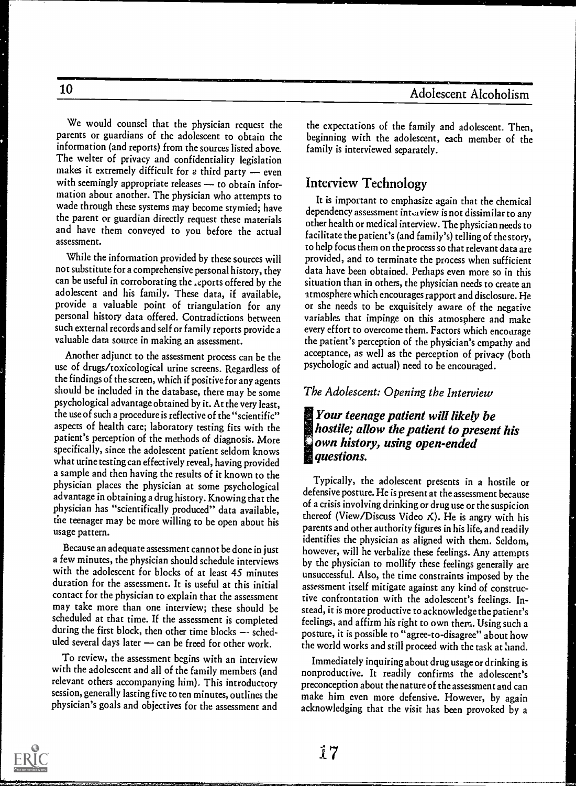We would counsel that the physician request the parents or guardians of the adolescent to obtain the information (and reports) from the sources listed above. The welter of privacy and confidentiality legislation makes it extremely difficult for a third party  $-$  even with seemingly appropriate releases - to obtain information about another. The physician who attempts to wade through these systems may become stymied; have the parent or guardian directly request these materials and have them conveyed to you before the actual assessment.

While the information provided by these sources will not substitute for a comprehensive personal history, they can be useful in corroborating the .eports offered by the adolescent and his family. These data, if available, provide a valuable point of triangulation for any personal history data offered. Contradictions between such external records and self or family reports provide a valuable data source in making an assessment.

Another adjunct to the assessment process can be the use of drugs/toxicological urine screens. Regardless of the findings of the screen, which if positive for any agents should be included in the database, there may be some psychological advantage obtained by it. At the very least, the use of such a procedure is reflective of the "scientific" aspects of health care; laboratory testing fits with the patient's perception of the methods of diagnosis. More specifically, since the adolescent patient seldom knows what urine testing can effectively reveal, having provided a sample and then having the results of it known to the physician places the physician at some psychological advantage in obtaining a drug history. Knowing that the physician has "scientifically produced" data available, the teenager may be more willing to be open about his usage pattern.

Because an adequate assessment cannot be done in just a few minutes, the physician should schedule interviews with the adolescent for blocks of at least 45 minutes duration for the assessment. It is useful at this initial contact for the physician to explain that the assessment may take more than one interview; these should be scheduled at that time. If the assessment is completed during the first block, then other time blocks -- scheduled several days later  $\rightarrow$  can be freed for other work.

To review, the assessment begins with an interview with the adolescent and all of the family members (and relevant others accompanying him). This introductory session, generally lasting five to ten minutes, outlines the physician's goals and objectives for the assessment and

the expectations of the family and adolescent. Then, beginning with the adolescent, each member of the family is interviewed separately.

### Interview Technology

It is important to emphasize again that the chemical dependency assessment intsaview is not dissimilar to any other health or medical interview. The physician needs to facilitate the patient's (and family's) telling of the story, to help focus them on the process so that relevant data are provided, and to terminate the process when sufficient data have been obtained. Perhaps even more so in this situation than in others, the physician needs to create an atmosphere which encourages rapport and disclosure. He or she needs to be exquisitely aware of the negative variables that impinge on this atmosphere and make every effort to overcome them. Factors which encourage the patient's perception of the physician's empathy and acceptance, as well as the perception of privacy (both psychologic and actual) need to be encouraged.

#### The Adolescent: Opening the Interview

#### Your teenage patient will likely be hostile; allow the patient to present his own history, using open-ended **questions.**

Typically, the adolescent presents in a hostile or defensive posture. He is present at the assessment because of a crisis involving drinking or drug use or the suspicion thereof (View/Discuss Video  $\angle$ ). He is angry with his parents and other authority figures in his life, and readily identifies the physician as aligned with them. Seldom, however, will he verbalize these feelings. Any attempts by the physician to mollify these feelings generally are unsuccessful. Also, the time constraints imposed by the assessment itself mitigate against any kind of constructive confrontation with the adolescent's feelings. Instead, it is more productive to acknowledge the patient's feelings, and affirm his right to own them. Using such a posture, it is possible to "agree-to-disagree" about how the world works and still proceed with the task at hand.

Immediately inquiring about drug usage or drinking is nonproductive. It readily confirms the adolescent's preconception about the nature of the assessment and can make him even more defensive. However, by again acknowledging that the visit has been provoked by a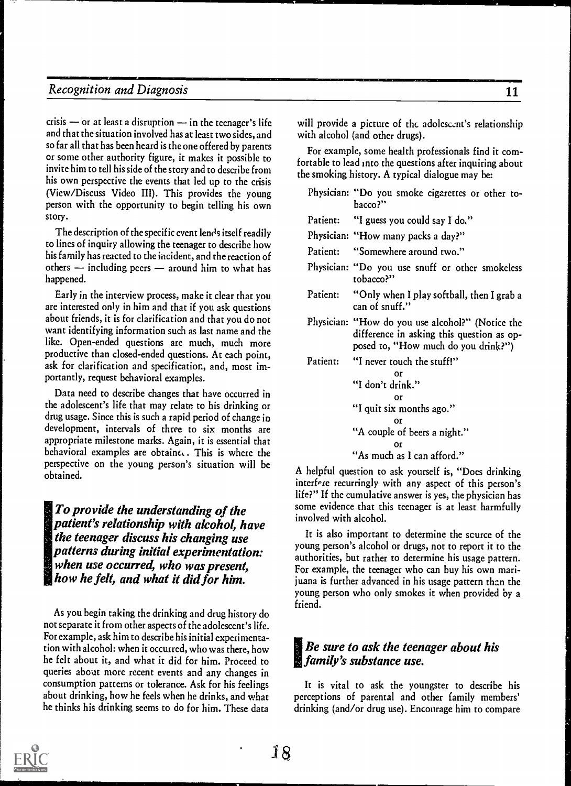crisis  $-$  or at least a disruption  $-$  in the teenager's life and that the situation involved has at least two sides, and so far all that has been heard is the one offered by parents or some other authority figure, it makes it possible to invite him to tell his side of the story and to describe from his own perspective the events that led up to the crisis (View/Discuss Video III). This provides the young person with the opportunity to begin telling his own story.

The description of the specific event lends itself readily to lines of inquiry allowing the teenager to describe how his family has reacted to the incident, and the reaction of others  $-$  including peers  $-$  around him to what has happened.

Early in the interview process, make it clear that you are interested only in him and that if you ask questions about friends, it is for clarification and that you do not want identifying information such as last name and the like. Open-ended questions are much, much more productive than closed-ended questions. At each point, ask for clarification and specification., and, most importantly, request behavioral examples.

Data need to describe changes that have occurred in the adolescent's life that may relate to his drinking or drug usage. Since this is such a rapid period of change in development, intervals of three to six months are appropriate milestone marks. Again, it is essential that behavioral examples are obtainc.. This is where the perspective on the young person's situation will be obtained.

To provide the understanding of the patient's relationship with alcohol, have the teenager discuss his changing use patterns during initial experimentation: when use occurred, who was present. how he felt, and what it did for him.

As you begin taking the drinking and drug history do not separate it from other aspects of the adolescent's life. For example, ask him to describe his initial experimentation with alcohol: when it occurred, who was there, how he felt about it, and what it did for him. Proceed to queries about more recent events and any changes in consumption patterns or tolerance. Ask for his feelings about drinking, how he feels when he drinks, and what he thinks his drinking seems to do for him. These data

will provide a picture of the adolescent's relationship with alcohol (and other drugs).

For example., some health professionals find it comfortable to lead into the questions after inquiring about the smoking history. A typical dialogue may be:

|          | Physician: "Do you smoke cigarettes or other to-<br>bacco?"                                                                                                      |
|----------|------------------------------------------------------------------------------------------------------------------------------------------------------------------|
|          | Patient: "I guess you could say I do."                                                                                                                           |
|          | Physician: "How many packs a day?"                                                                                                                               |
|          | Patient: "Somewhere around two."                                                                                                                                 |
|          | Physician: "Do you use snuff or other smokeless<br>tobacco?"                                                                                                     |
|          | Patient: "Only when I play softball, then I grab a<br>can of snuff."                                                                                             |
|          | Physician: "How do you use alcohol?" (Notice the<br>difference in asking this question as op-<br>posed to, "How much do you drink?")                             |
| Patient: | "I never touch the stuff!"<br>Or<br>"I don't drink."<br>Ωr<br>"I quit six months ago."<br>n۳<br>"A couple of beers a night."<br>Or<br>"As much as I can afford." |

A helpful question to ask yourself is, "Does drinking interfere recurringly with any aspect of this person's life?" If the cumulative answer is yes, the physician has some evidence that this teenager is at least harmfully involved with alcohol.

It is also important to determine the scurce of the young person's alcohol or drugs, not to report it to the authorities, but rather to determine his usage pattern. For example, the teenager who can buy his own marijuana is further advanced in his usage pattern than the young person who only smokes it when provided by a friend.

## Be sure to ask the teenager about his **family's substance use.**<br>**family's substance use.**

It is vital to ask the youngster to describe his perceptions of parental and other family members' drinking (and/or drug use). Encourage him to compare

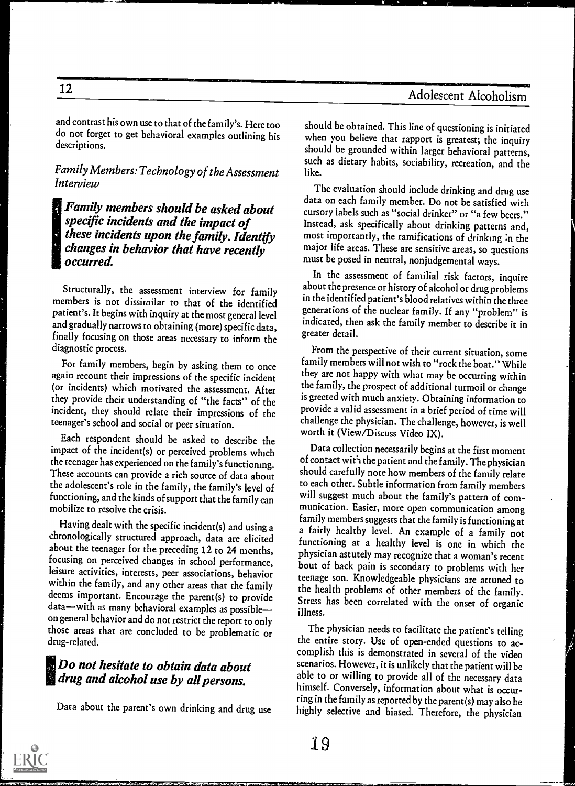and contrast his own use to that of the family's. Here too do not forget to get behavioral examples outlining his descriptions.

Family Members: Technology of the Assessment Interview

#### Family members should be asked about specific incidents and the impact of these incidents upon the family. Identify changes in behavior that have recently occurred.

Structurally, the assessment interview for family members is not dissimilar to that of the identified patient's. It begins with inquiry at the most general level and gradually narrows to obtaining (more) specific data, finally focusing on those areas necessary to inform the diagnostic process.

For family members, begin by asking them to once again recount their impressions of the specific incident (or incidents) which motivated the assessment. After they provide their understanding of "the facts" of the incident, they should relate their impressions of the teenager's school and social or peer situation.

Each respondent should be asked to describe the impact of the incident(s) or perceived problems which the teenager has experienced on the family's functioning. These accounts can provide a rich source of data about the adolescent's role in the family, the family's level of functioning, and the kinds ofsupport that the family can mobilize to resolve the crisis.

Having dealt with the specific incident(s) and using a chronologically structured approach, data are elicited about the teenager for the preceding 12 to 24 months, focusing on perceived changes in school performance, leisure activities, interests, peer associations, behavior within the family, and any other areas that the family deems important. Encourage the parent(s) to provide data-with as many behavioral examples as possibleon general behavior and do not restrict the report to only those areas that are concluded to be problematic or drug-related.

#### **Do not hesitate to obtain data about** drug and alcohol use by all persons.

Data about the parent's own drinking and drug use

should be obtained. This line of questioning is initiated when you believe that rapport is greatest; the inquiry should be grounded within larger behavioral patterns, such as dietary habits, sociability, recreation, and the like.

The evaluation should include drinking and drug use data on each family member. Do not be satisfied with cursory labels such as "social drinker" or "a few beers." Instead, ask specifically about drinking patterns and, most importantly, the ramifications of drinking :n the major life areas. These are sensitive areas, so questions must be posed in neutral, nonjudgemental ways.

In the assessment of familial risk factors, inquire about the presence or history of alcohol or drug problems in the identified patient's blood relatives within the three generations of the nuclear family. If any "problem" is indicated, then ask the family member to describe it in greater detail.

From the perspective of their current situation, some family members will not wish to "rock the boat." While they are not happy with what may be occurring within the family, the prospect of additional turmoil or change is greeted with much anxiety. Obtaining information to provide a valid assessment in a brief period of time will challenge the physician. The challenge, however, is well worth it (View/Discuss Video IX).

Data collection necessarily begins at the first moment of contact wit'l the patient and the family. The physician should carefully note how members of the family relate to each other. Subtle information from family members will suggest much about the family's pattern of communication. Easier, more open communication among family members suggests that the family is functioningat a fairly healthy level. An example of a family not functioning at a healthy level is one in which the physician astutely may recognize that a woman's recent bout of back pain is secondary to problems with her teenage son. Knowledgeable physicians are attuned to the health problems of other members of the family. Stress has been correlated with the onset of organic illness.

The physician needs to facilitate the patient's telling the entire story. Use of open-ended questions to accomplish this is demonstrated in several of the video scenarios. However, it is unlikely that the patient will be able to or willing to provide all of the necessary data himself. Conversely, information about what is occurring in the family as reported by the parent(s) may also be highly selective and biased. Therefore, the physician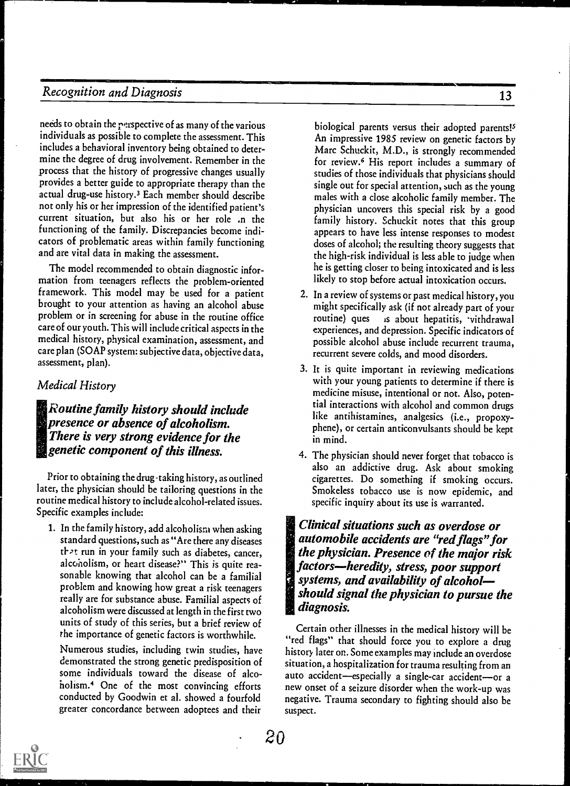needs to obtain the rerspective of as many of the various individuals as possible to complete the assessment. This includes a behavioral inventory being obtained to determine the degree of drug involvement. Remember in the process that the history of progressive changes usually provides a better guide to appropriate therapy than the actual drug-use history.3 Each member should describe not only his or her impression of the identified patient's current situation, but also his or her role .n the functioning of the family. Discrepancies become indicators of problematic areas within family functioning and are vital data in making the assessment.

The model recommended to obtain diagnostic information from teenagers reflects the problem-oriented framework. This model may be used for a patient brought to your attention as having an alcohol abuse problem or in screening for abuse in the routine office care of our youth. This will include critical aspects in the medical history, physical examination, assessment, and care plan (SOAP system: subjective data, objective data, assessment, plan).

#### Medical History

 $\blacksquare$  Routine family history should include presence or absence of alcoholism. There is very strong evidence for the eenetic component of this illness.

Prior to obtaining the drug-taking history, as outlined later, the physician should be tailoring questions in the routine medical history to include alcohol-related issues. Specific examples include:

1. In the family history, add alcoholism when asking standard questions, such as "Are there any diseases that run in your family such as diabetes, cancer, alcoholism, or heart disease?" This is quite reasonable knowing that alcohol can be a familial problem and knowing how great a risk teenagers really are for substance abuse. Familial aspects of alcoholism were discussed at length in the first two units of study of this series, but a brief review of the importance of genetic factors is worthwhile.

Numerous studies, including twin studies, have demonstrated the strong genetic predisposition of some individuals toward the disease of alcoholism.' One of the most convincing efforts conducted by Goodwin et al. showed a fourfold greater concordance between adoptees and their

biological parents versus their adopted parents!<sup>5</sup> An impressive 1985 review on genetic factors by Marc Schuckit, M.D., is strongly recommended for review.' His report includes a summary of studies of those individuals that physicians should single out for special attention, such as the young males with a close alcoholic family member. The physician uncovers this special risk by a good family history. Schuckit notes that this group appears to have less intense responses to modest doses of alcohol; the resulting theory suggests that the high-risk individual is less able to judge when he is getting closer to being intoxicated and is less likely to stop before actual intoxication occurs.

- 2. In a review of systems or past medical history, you might specifically ask (if not already part of your<br>routine) ques about hepatitis, vithdrawal is about hepatitis, vithdrawal experiences, and depression. Specific indicators of possible alcohol abuse include recurrent trauma, recurrent severe colds, and mood disorders.
- 3. It is quite important in reviewing medications with your young patients to determine if there is medicine misuse, intentional or not. Also, potential interactions with alcohol and common drugs like antihistamines, analgesics (i.e., propoxyphene), or certain anticonvulsants should be kept in mind.
- 4. The physician should never forget that tobacco is also an addictive drug. Ask about smoking cigarettes. Do something if smoking occurs. Smokeless tobacco use is now epidemic, and specific inquiry about its use is warranted.

Clinical situations such as overdose or automobile accidents are "red flags" for the physician. Presence of the major risk factors-heredity, stress, poor support systems, and availability of alcoholshould signal the physician to pursue the diagnosis.

Certain other illnesses in the medical history will be "red flags" that should force you to explore a drug history later on. Some examples may include an overdose situation, a hospitalization for trauma resulting from an auto accident-especially a single-car accident-or a new onset of a seizure disorder when the work-up was negative. Trauma secondary to fighting should also be suspect.

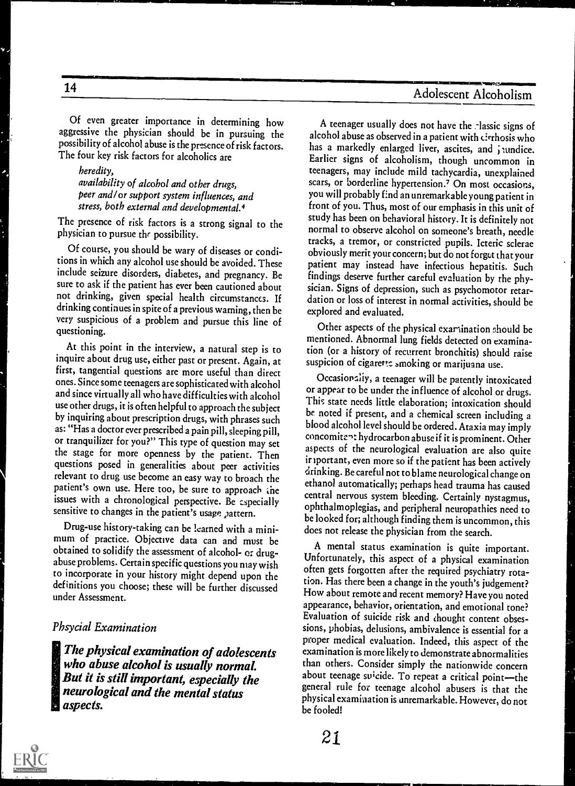Of even greater importance in determining how aggressive the physician should be in pursuing the possibility of alcohol abuse is the presence of risk factors. The four key risk factors for alcoholics are

heredity, availability of alcohol and other drugs, peer and/ or support system influences, and stress, both external and developmental.4

The presence of risk factors is a strong signal to the physician to pursue the possibility.

Of course, you should be wary of diseases or conditions in which any alcohol use should be avoided. These include seizure disorders, diabetes, and pregnancy. Be sure to ask if the patient has ever been cautioned about not drinking, given special health circumstances. If drinking continues in spite of a previous warning, then be very suspicious of a problem and pursue this line of questioning.

At this point in the interview, a natural step is to inquire about drug use, either past or present. Again, at first, tangential questions are more useful than direct ones. Since some teenagers are sophisticated with alcohol and since virtually all who have difficulties with alcohol use other drugs, it is often helpful to approach the subject by inquiring about prescription drugs, with phrases such as: "Has a doctor ever prescribed a pain pill, sleeping pill, or tranquilizer for you?" This type of question may set the stage for more openness by the patient. Then questions posed in generalities about peer activities relevant to drug use become an easy way to broach the patient's own use. Here too, be sure to approach the issues with a chronological perspective. Be cspecially sensitive to changes in the patient's usage pattern.

Drug-use history-taking can be learned with a minimum of practice. Objective data can and must be obtained to solidify the assessment of alcohol- or drugabuse problems. Certain specific questions you may wish to incorporate in your history might depend upon the definitions you choose; these will be further discussed under Assessment.

#### Phsycial Examination

IThe physical examination of adolescents who abuse alcohol is usually normal. But it is still important, especially the neurological and the mental status aspects.

A teenager usually does not have the -lassic signs of alcohol abuse as observed in a patient with cirrhosis who has a markedly enlarged liver, ascites, and jundice. Earlier signs of alcoholism, though uncommon in teenagers, may include mild tachycardia, unexplained scars, or borderline hypertension.<sup>7</sup> On most occasions, you will probably find an unremarkable young patient in front of you. Thus, most of our emphasis in this unit of study has been on behavioral history. It is definitely not normal to observe alcohol on someone's breath, needle tracks, a tremor, or constricted pupils. Icteric sclerae obviously merit your concern; but do not forget that your patient may instead have infectious hepatitis. Such findings deserve further careful evaluation by the physician. Signs of depression, such as psychomotor retardation or loss of interest in normal activities, should be explored and evaluated.

Other aspects of the physical examination should be mentioned. Abnormal lung fields detected on examination (or a history of recurrent bronchitis) should raise suspicion of cigarette smoking or marijuana use.

Occasionally, a teenager will be patently intoxicated or appear to be under the influence of alcohol or drugs. This state needs little elaboration; intoxication should be noted if present, and a chemical screen including a blood alcohol level should be ordered. Ataxia may imply concomitent hydrocarbon abuse if it is prominent. Other aspects of the neurological evaluation are also quite ir iportant, even more so if the patient has been actively drinking. Be careful not to blame neurological change on ethanol automatically; perhaps head trauma has caused central nervous system bleeding. Certainly nystagmus, ophthalmoplegias, and peripheral neuropathies need to be looked for; although finding them is uncommon, this does not release the physician from the search.

A mental status examination is quite important. Unfortunately, this aspect of a physical examination often gets forgotten after the required psychiatry rotation. Has there been a change in the youth's judgement? How about remote and recent memory? Have you noted appearance, behavior, orientation, and emotional tone? Evaluation of suicide risk and thought content obsessions, phobias, delusions, ambivalence is essential for a proper medical evaluation. Indeed, this aspect of the examination is more likely to demonstrate abnormalities than others. Consider simply the nationwide concern about teenage suicide. To repeat a critical point-the general rule for teenage alcohol abusers is that the physical examination is unremarkable. However, do not be fooled!

4191 ja 1911 ja 1911 ja 1911 ja 1911 ja 1911 ja 1911 ja 1911 ja 1911 ja 1911 ja 1911 ja 1911 ja 1911 ja 1911 j<br>Martxoaren 1911 ja 1911 ja 1911 ja 1911 ja 1911 ja 1911 ja 1911 ja 1911 ja 1911 ja 1911 ja 1911 ja 1911 ja 19<br>M

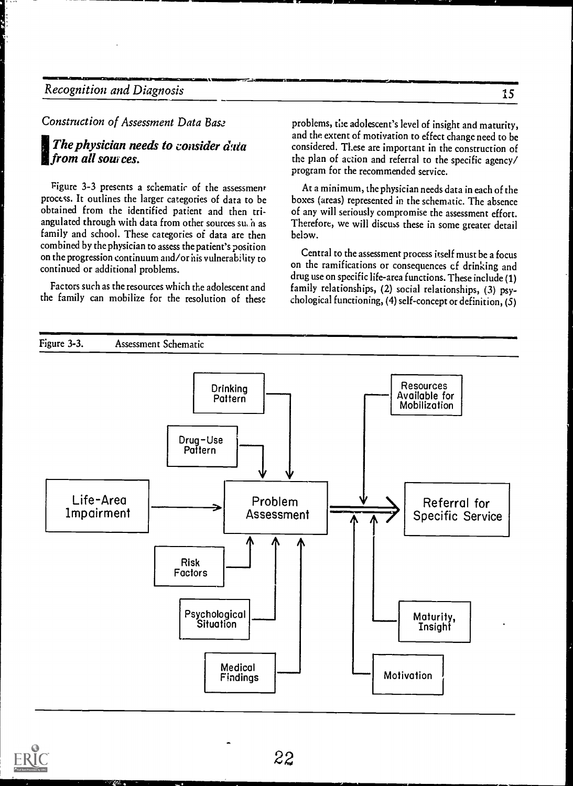Construction of Assessment Data Base

#### The physician needs to consider  $\vec{a}$  at from all sources.

Figure 3-3 presents a schematic of the assessment process. It outlines the larger categories of data to be obtained from the identified patient and then triangulated through with data from other sources su, h as family and school. These categories of data are then combined by the physician to assess the patient's position on the progression continuum and/or his vulnerability to continued or additional problems.

Factors such as the resources which the adolescent and the family can mobilize for the resolution of these

problems, the adolescent's level of insight and maturity, and the extent of motivation to effect change need to be considered. These are important in the construction of the plan of action and referral to the specific agency/ program for the recommended service.

At a minimum, the physician needs data in each of the boxes (areas) represented in the schematic. The absence of any will seriously compromise the assessment effort. Therefore, we will discuss these in some greater detail below.

Central to the assessment process itself must be a focus on the ramifications or consequences cf drinking and drug use on specific life-area functions. These include (1) family relationships, (2) social relationships, (3) psychological functioning, (4) self-concept or definition, (5)



it van die gewone van die gewone van die gewone van die gewone van die gewone van die gewone van die gewone va<br>Gewone van die gewone van die gewone van die gewone van die gewone van die gewone van die gewone van die gewon

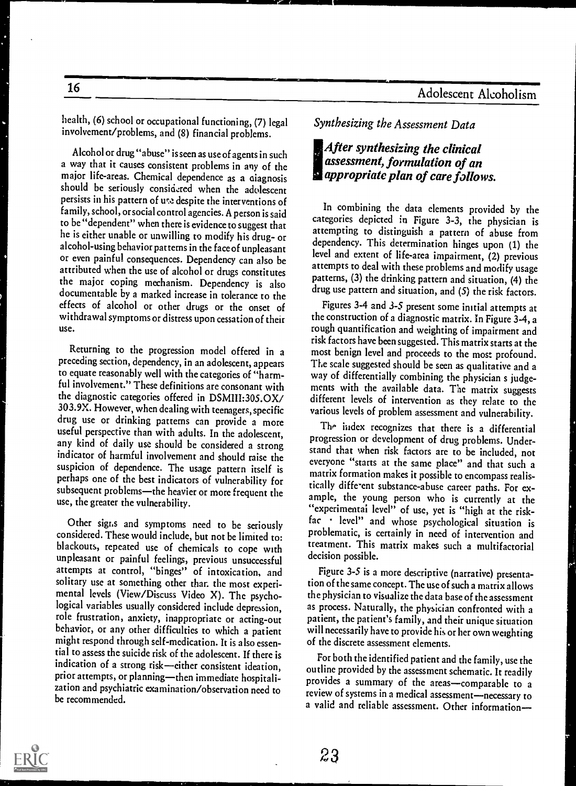health, (6) school or occupational functioning, (7) legal involvement/problems, and (8) financial problems.

16

Alcohol or drug "abuse" isseen as use of agents in such a way that it causes consistent problems in any of the major life-areas. Chemical dependence as a aiagnosis should be seriously considered when the adolescent persists in his pattern of use despite the interventions of family, school, or social control agencies. A person is said to be "dependent" when there is evidence to suggest that he is either unable or unwilling to modify his drug- or alcohol-using behavior patterns in the face of unpleasant or even painful consequences. Dependency can also be attributed when the use of alcohol or drugs constitutes the major coping mechanism. Dependency is also documentable by a marked increase in tolerance to the effects of alcohol or other drugs or the onset of withdrawal symptomsor distress upon cessation of their use.

Returning to the progression model offered in a preceding section, dependency, in an adolescent, appears to equate reasonably well with the categories of "harmful involvement." These definitions are consonant with the diagnostic categories offered in DSMIII:305.OX/<br>303.9X. However, when dealing with teenagers, specific drug use or drinking patterns can provide a more useful perspective than with adults. In the adolescent, any kind of daily use should be considered a strong indicator of harmful involvement and should raise the suspicion of dependence. The usage pattern itself is perhaps one of the best indicators of vulnerability for subsequent problems-the heavier or more frequent the use, the greater the vulnerability.

Other sigr.s and symptoms need to be seriously considered. These would include, but not be limited to: blackouts, repeated use of chemicals to cope with unpleasant or painful feelings, previous unsuccessful attempts at control, "binges" of intoxication, and solitary use at something other than the most experimental levels (View/Discuss Video X). The psychological variables usually considered include depression, role frustration, anxiety, inappropriate or acting-out behavior, or any other difficulties to which a patient might respond through self-medication. It is also essential to assess the suicide risk of the adolescent. If there is indication of a strong risk-cither consistent ideation, prior attempts, or planning-then immediate hospitalization and psychiatric examination/observation need to be recommended.

Synthesizing the Assessment Data

#### !After synthesizing the clinical assessment, formulation of an **a** appropriate plan of care follows.

In combining the data elements provided by the categories depicted in Figure 3-3, the physician is attempting to distinguish a pattern of abuse from dependency. This determination hinges upon (1) the level and extent of life-area impairment, (2) previous attempts to deal with these problems and modify usage patterns, (3) the drinking pattern and situation, (4) the drug use pattern and situation, and (5) the risk factors.

Figures 3-4 and 3-5 present some initial attempts at the construction of a diagnostic matrix. In Figure 3-4, a rough quantification and weighting of impairment and risk factors have been suggested. This matrix starts at the most benign level and proceeds to the most profound. The scale suggested should be seen as qualitative and a way of differentially combining the physician s judgements with the available data. The matrix suggests different levels of intervention as they relate to the various levels of problem assessment and vulnerability.

The index recognizes that there is a differential progression or development of drug problems. Understand that when risk factors are to be included, not everyone "starts at the same place" and that such a matrix formation makes it possible to encompass realistically diffe-ent substance-abuse career paths. For example, the young person who is currently at the "experimental level" of use, yet is "high at the riskfac · level" and whose psychological situation is problematic, is certainly in need of intervention and treatment. This matrix makes such a multifactorial decision possible.

Figure 3-5 is a more descriptive (narrative) presentation of the same concept. The use of such a matrix allows the physician to visualize the data base of the assessment as process. Naturally, the physician confronted with a patient, the patient's family, and their unique situation will necessarily have to provide his or her own weighting of the discrete assessment elements.

For both the identified patient and the family, use the outline provided by the assessment schematic. It readily provides a summary of the areas-comparable to a review of systems in a medical assessment-necessary to a valid and reliable assessment. Other information

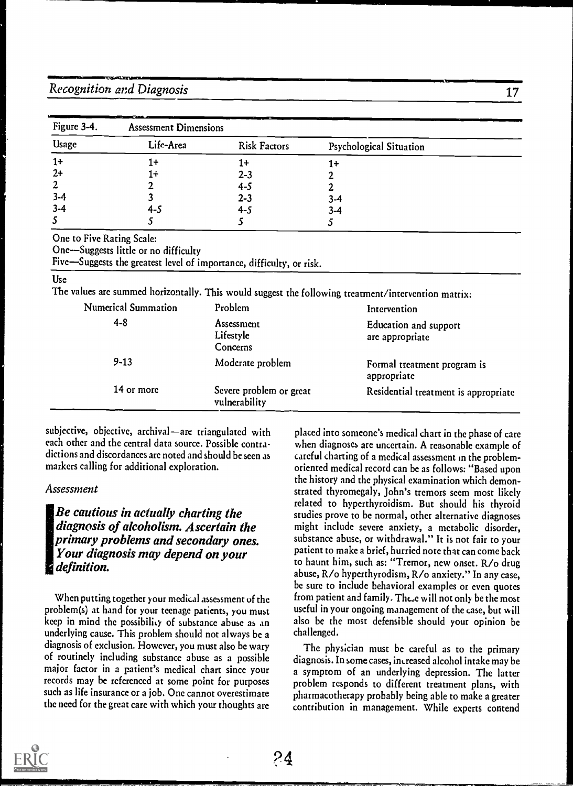| Figure 3-4.                     | ---<br><b>Assessment Dimensions</b> |                     |                                |  |
|---------------------------------|-------------------------------------|---------------------|--------------------------------|--|
| $\qquad \qquad$<br><b>Usage</b> | Life-Area                           | <b>Risk Factors</b> | <b>Psychological Situation</b> |  |
| $1+$                            | 1+                                  | 1+                  | 1+                             |  |
| $2+$                            | 1+                                  | $2 - 3$             |                                |  |
| $\overline{2}$                  |                                     | $4 - 5$             |                                |  |
| $3-4$                           |                                     | $2 - 3$             | $3 - 4$                        |  |
| $3 - 4$                         | 4-5                                 | $4 - 5$             | $3 - 4$                        |  |
|                                 |                                     |                     |                                |  |

One to Five Rating Scale:

One-Suggests little or no difficulty

Five-Suggests the greatest level of importance, difficulty, or risk.

#### Use

The values arc summed horizontally. This would suggest the following treatment/intervention matrix:

| <b>Numerical Summation</b> | Problem                                  | Intervention                                    |
|----------------------------|------------------------------------------|-------------------------------------------------|
| $4 - 8$                    | Assessment<br>Lifestyle<br>Concerns      | <b>Education and support</b><br>are appropriate |
| $9 - 13$                   | Moderate problem                         | Formal treatment program is<br>appropriate      |
| 14 or more                 | Severe problem or great<br>vulnerability | Residential treatment is appropriate            |

subjective, objective, archival-are triangulated with each other and the central data source. Possible contradictions and discordances are noted and should beseen as markers calling for additional exploration.

#### Assessment

Be cautious in actually charting the diagnosis of alcoholism. Ascertain the primary problems and secondary ones. Your diagnosis may depend on your definition.

When putting together your medical assessment of the problem(s) at hand for your teenage patients, you must keep in mind the possibility of substance abuse as an underlying cause. This problem should not always be a diagnosis of exclusion. However, you must also be wary of routinely including substance abuse as a possible major factor in a patient's medical chart since your records may be referenced at some point for purposes such as life insurance or a job. One cannot overestimate the need for the great care with which your thoughts arc

placed into someone's medical chart in the phase of care when diagnoses are uncertain. A reasonable example of careful charting of a medical assessment in the problemoriented medical record can be as follows: "Based upon the history and the physical examination which demonstrated thyromegaly, John's tremors seem most likely related to hyperthyroidism. But should his thyroid studies prove to be normal, other alternative diagnoses might include severe anxiety, a metabolic disorder, substance abuse, or withdrawal." It is not fair to your patient to make a brief, hurried note that can come back to haunt him, such as: "Tremor, new onset. R/o drug abuse, R/o hyperthyrodism, R/o anxiety." In any case, be sure to include behavioral examples or even quotes from patient and family. Thc,e will not only be the most useful in your ongoing management of the case, but will also be the most defensible should your opinion be challenged.

The physician must be careful as to the primary diagnosis. In some cases, imreased alcohol intake may be a symptom of an underlying depression. The latter problem responds to different treatment plans, with pharmacotherapy probably being able to make a greater contribution in management. While experts contend

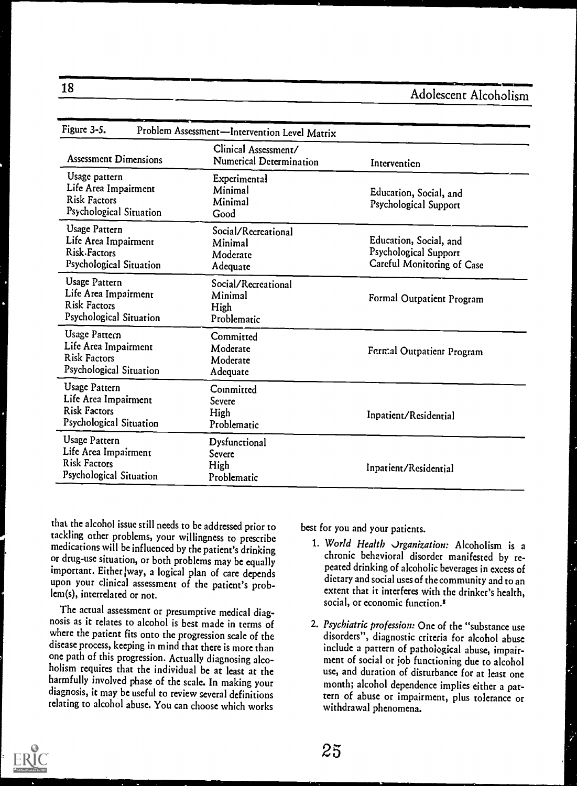| Figure 3-5.                                                                                    | Problem Assessment-Intervention Level Matrix           |                                                                                      |
|------------------------------------------------------------------------------------------------|--------------------------------------------------------|--------------------------------------------------------------------------------------|
| <b>Assessment Dimensions</b>                                                                   | Clinical Assessment/<br><b>Numerical Determination</b> | Intervention                                                                         |
| Usage pattern<br>Life Area Impairment<br><b>Risk Factors</b><br>Psychological Situation        | <b>Experimental</b><br>Minimal<br>Minimal<br>Good      | Education, Social, and<br>Psychological Support                                      |
| <b>Usage Pattern</b><br>Life Area Impairment<br>Risk-Factors<br>Psychological Situation        | Social/Recreational<br>Minimal<br>Moderate<br>Adequate | Education, Social, and<br><b>Psychological Support</b><br>Careful Monitoring of Case |
| <b>Usage Pattern</b><br>Life Area Impairment<br><b>Risk Factors</b><br>Psychological Situation | Social/Recreational<br>Minimal<br>High<br>Problematic  | Formal Outpatient Program                                                            |
| Usage Pattern<br>Life Area Impairment<br><b>Risk Factors</b><br>Psychological Situation        | Committed<br>Moderate<br>Moderate<br>Adequate          | Fermal Outpatient Program                                                            |
| <b>Usage Pattern</b><br>Life Area Impairment<br><b>Risk Factors</b><br>Psychological Situation | Committed<br>Severe<br>High<br>Problematic             | Inpatient/Residential                                                                |
| <b>Usage Pattern</b><br>Life Area Impairment<br><b>Risk Factors</b><br>Psychological Situation | Dysfunctional<br>Severe<br>High<br>Problematic         | Inpatient/Residential                                                                |

that the alcohol issue still needs to be addressed prior to tackling other problems, your willingness to prescribe medications will be influenced by the patient's drinking or drug-use situation, or both problems may be equally important. Either way, a logical plan of care depends upon your clinical assessment of the patient's problem(s), interrelated or not.

The actual assessment or presumptive medical diagnosis as it relates to alcohol is best made in terms of where the patient fits onto the progression scale of the disease process, keeping in mind that there is more than one path of this progression. Actually diagnosing alcoholism requires that the individual be at least at the harmfully involved phase of the scale. In making your diagnosis, it may be useful to review several definitions relating to alcohol abuse. You can choose which works

best for you and your patients.

- 1. World Health Jrganization: Alcoholism is <sup>a</sup> chronic behavioral disorder manifested by repeated drinking of alcoholic beverages in excess of dietary and social uses of the community and to an extent that it interferes with the drinker's health, social, or economic function.<sup>8</sup>
- 2. Psychiatric profession: One of the "substance use disorders", diagnostic criteria for alcohol abuse include a pattern of pathological abuse, impairment of social or job functioning due to alcohol use, and duration of disturbance for at least one month; alcohol dependence implies either a pattern of abuse or impairment, plus tolerance or withdrawal phenomena.

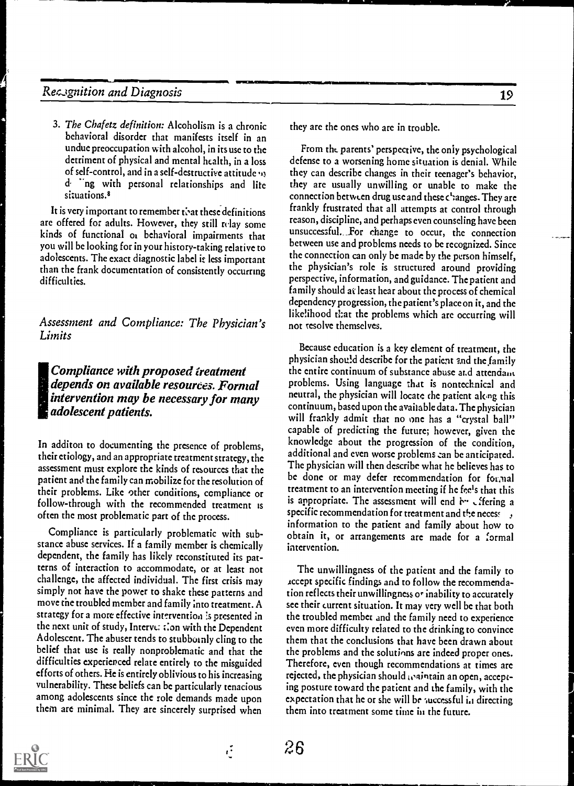1151,

3. The Chafetz definition: Alcoholism is a chronic behavioral disorder that manifests itself in an undue preoccupation with alcohol, in its use to the detriment of physical and mental health, in a loss of self-control, and in a self-destructive attitude d ing with personal relationships and lite situations.<sup>8</sup>

It is very important to remember that these definitions are offered for adults. However, they still relay some kinds of functional or behavioral impairments that you will be looking for in your history-taking relative to adolescents. The exact diagnostic label it less important than the frank documentation of consistently occurring difficulties.

Assessment and Compliance: The Physician's Limits

#### Compliance with proposed treatment depends on available resources. Formal intervention may be necessary for many adolescent patients.

In additon to documenting the presence of problems, their etiology, and an appropriate treatment strategy, the assessment must explore the kinds of resources that the patient and the family can mobilize for the resolution of their problems. Like other conditions, compliance or follow-through with the recommended treatment is often the most problematic part of the process.

Compliance is particularly problematic with substance abuse services. If a family member is chemically dependent, the family has likely reconstituted its patterns of interaction to accommodate, or at least not challenge, the affected individual. The first crisis may simply not have the power to shake these patterns and move the troubled member and family into treatment. A strategy for a more effective intervention !s presented in thc next unit of study, Interve: t:on with the Dependent Adolescent. The abuser tends to stubbutnly cling to the belief that use is really nonproblematic and that the difficulties experienced relate entirely to the misguided efforts of others. He is entirely oblivious to his increasing vulnerability. These beliefs can be particularly tenacious among adolescents since the role demands made upon them are minimal. They are sincerely surprised when

19

they arc the ones who are in trouble.

.<br>On the Mark Column of the Column of Column of the Column of the Column of the Column of the Column of the Col

From the parents' perspective, the only psychological defense to a worsening home situation is denial. While they can describe changes in their teenager's behavior, they arc usually unwilling or unable to make the connection between drug use and these changes. They are frankly frustrated that all attempts at control through reason, discipline, and perhaps even counseling have been unsuccessful. \_for change to occur, the connection between use and problems needs to be recognized. Since the connection can only be made by the person himself, the physician's role is structured around providing perspective, information, and guidance. The patient and family should at least hear about the process of chemical dependency progression, the patient's place on it, and the likelihood that the problems which are occurring will not resolve themselves.

Because education is a key element of treatment, the physician should describe for the patient and the family the entire continuum of substance abuse arid attendam problems. Using language that is nontechnical and neutral, the physician will locate the patient akng this continuum, based upon the available dat a. The physician will frankly admit that no one has a "crystal ball" capable of predicting the future; however, given the knowledge about the progression of the condition, additional and even worse problems can be anticipated. The physician will thcn describe what he believes has to be done or may defer recommendation for formal treatment to an intervention meeting if he fee's that this is appropriate. The assessment will end by effering a specific recommendation for treatment and the necess  $, j$ information to the patient and family about how to obtain it, or arrangements are made for a formal intervention.

The unwillingness of the patient and the family to Accept specific findings and to follow the recommendation reflects their unwillingness o\* inability to accurately sec their current situation. It may very well be that both the troubled member and the family need to experience even more difficulty related to the drinking to convince them that the conclusions that have been drawn about the problems and the solutions are indeed proper ones. Therefore, even though recommendations at times arc rejected, the physician should waintain an open, accepting posture toward the patient and the family, with the expectation that he or she will br successful in directing them into treatment some time in the future.



 $\ddot{\mathcal{C}}$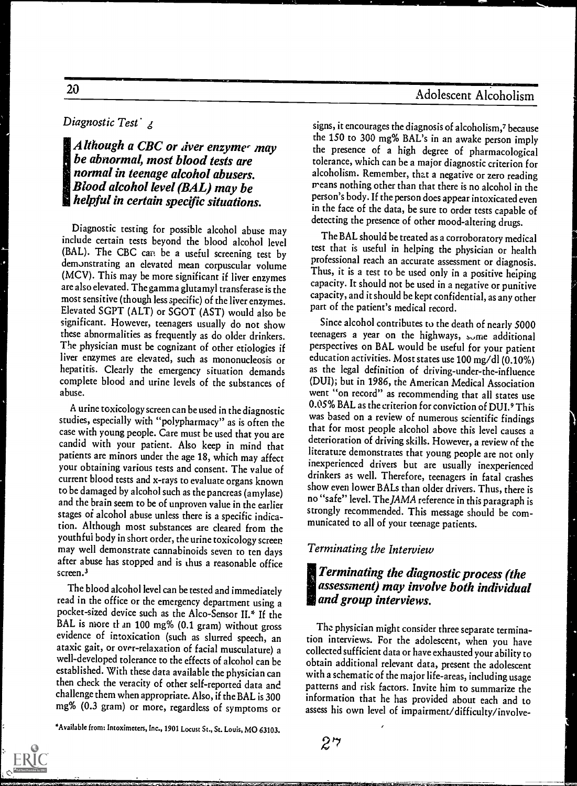#### Diagnostic Test<sup>'</sup> g

 $\blacksquare$  Although a CBC or diver enzymes may be abnormal, most blood tests are normal in teenage alcohol abusers. Blood alcohol level (BAL) may be helpful in certain specific situations.

Diagnostic testing for possible alcohol abuse may include certain tests beyond the blood alcohol level (BAL). The CBC can be a useful screening test by demonstrating an elevated mean corpuscular volume (MCV). This may be more significant if liver enzymes are also elevated. The gamma glutamyl transferase is the most sensitive (though less specific) of the liver enzymes. Elevated SGPT (ALT) or SGOT (AST) would also be significant. However, teenagers usually do not show these abnormalities as frequently as do older drinkers. The physician must be cognizant of other etiologies if liver enzymes are elevated, such as mononucleosis or hepatitis. Clearly the emergency situation demands complete blood and urine levels of the substances of abuse.

A urine toxicology screen can be used in the diagnostic studies, especially with "polypharmacy" as is often the case with young people. Care must be used that you are candid with your patient. Also keep in mind that patients are minors under the age 18, which may affect your obtaining various tests and consent. The value of current blood tests and x-rays to evaluate organs known to be damaged by alcohol such as the pancreas (amylase) and the brain seem to be of unproven value in the earlier stages of alcohol abuse unless there is a specific indication. Although most substances are cleared from the youthful body in short order, the urine toxicology screen may well demonstrate cannabinoids seven to ten days after abuse has stopped and is thus a reasonable office screen.<sup>3</sup>

The blood alcohol level can be tested and immediately read in the office or the emergency department using a pocket-sized device such as the Alco-Sensor II.\* If the BAL is more than 100 mg% (0.1 gram) without gross evidence of intoxication (such as slurred speech, an ataxic gait, or over-relaxation of facial musculature) a well-developed tolerance to the effects of alcohol can be established. With these data available the physician can then check the veracity of other self-reported data and challenge them when appropriate. Also, if the BAL is 300 mg% (0.3 gram) or more, regardless of symptoms or

\*Available from: Intoximeters, Inc., 1901 Locust St., St. Louis, MO 63103.

signs, it encourages the diagnosis of alcoholism,<sup>7</sup> because the 150 to 300 mg% BAL's in an awake person imply the presence of a high degree of pharmacological tolerance, which can be a major diagnostic criterion for alcoholism. Remember, that a negative or zero reading means nothing other than that there is no alcohol in the person's body. If the person does appear intoxicated even in the face of the data, be sure to order tests capable of detecting the presence of other mood-altering drugs.

The BAL should be treated as a corroboratory medical test that is useful in helping the physician or health professional reach an accurate assessment or diagnosis. Thus, it is a test to be used only in a positive heiping capacity. It should not be used in a negative or punitive capacity, and it should be kept confidential, as any other part of the patient's medical record.

Since alcohol contributes to the death of nearly 5000 teenagers a year on the highways, some additional perspectives on BAL would be useful for your patient education activities. Most states use 100 mg/dl (0.10%) as the legal definition of driving-under-the-influence (DUI); but in 1986, the American Medical Association went "on record" as recommending that all states use 0.05% BAL as the criterion for conviction of DUI.<sup>9</sup> This was based on a review of numerous scientific findings that for most people alcohol above this level causes a deterioration of driving skills. However, a review of the literature demonstrates that young people are not only inexperienced drivers but are usually inexperienced drinkers as well. Therefore, teenagers in fatal crashes show even lower BALs than older drivers. Thus, there is no "safe" level. The JAMA reference in this paragraph is strongly recommended. This message should be communicated to all of your teenage patients.

#### Terminating the Interview

 $2$   $\,$ 

#### !Terminating the diagnostic process (the assessment) may involve both individual and group interviews.

The physician might consider three separate termination interviews. For the adolescent, when you have collected sufficient data or have exhausted your ability to obtain additional relevant data, present the adolescent with a schematic of the major life-areas, including usage patterns and risk factors. Invite him to summarize the information that he has provided about each and to assess his own level of impairment/difficulty/involve-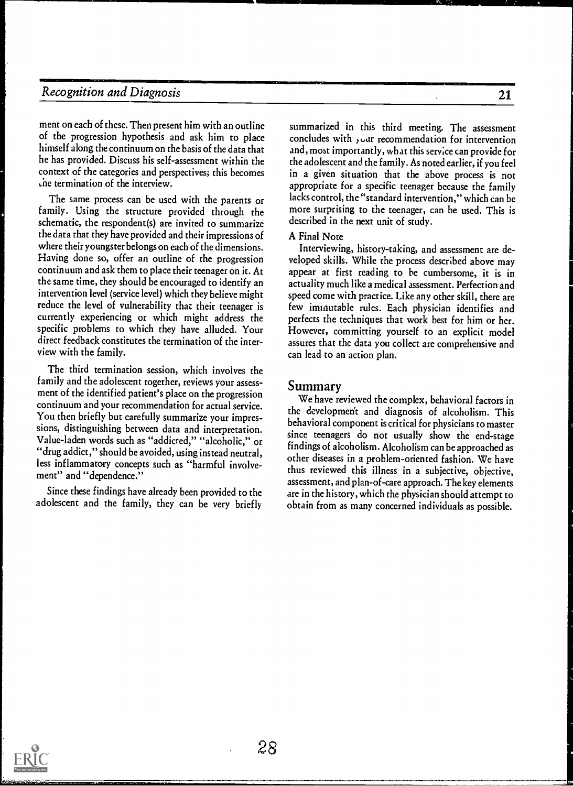ment on each of these. Then present him with an outline of the progression hypothesis and ask him to place himself along the continuum on the basis of the data that he has provided. Discuss his self-assessment within the context of the categories and perspectives; this becomes ,he termination of the interview.

The same process can be used with the parents or family. Using the structure provided through the schematic, the respondent(s) are invited to summarize the data that they have provided and their impressions of where their youngster belongs on each of the dimensions. Having done so, offer an outline of the progression continuum and ask them to place their teenager on it. At the same time, they should be encouraged to identify an intervention level (service level) which they believe might reduce the level of vulnerability that their teenager is currently experiencing or which might address the specific problems to which they have alluded. Your direct feedback constitutes the termination of the interview with the family.

The third termination session, which involves the family and the adolescent together, reviews your assessment of the identified patient's place on the progression continuum and your recommendation for actual service. You then briefly but carefully summarize your impressions, distinguishing between data and interpretation. Value-laden words such as "addicted," "alcoholic," or "drug addict," should be avoided, using instead neutral, less inflammatory concepts such as "harmful involvement" and "dependence."

Since these findings have already been provided to the adolescent and the family, they can be very briefly

summarized in this third meeting. The assessment concludes with  $y$  our recommendation for intervention and, most importantly, what this serv;ce can provide for the adolescent and the family. As noted earlier, if you feel in a given situation that the above process is not appropriate for a specific teenager because the family lacks control, the "standard intervention," which can be more surprising to the teenager, can be used. This is described in the next unit of study.

#### A Final Note

Interviewing, history-taking, and assessment are developed skills. While the process described above may appear at first reading to he cumbersome, it is in actuality much like a medical assessment. Perfection and speed come with practice. Like any other skill, there are few immutable rules. Each physician identifies and perfects the techniques that work best for him or her. However, committing yourself to an explicit model assures that the data you collect are comprehensive and can lead to an action plan.

#### Summary

We have reviewed the complex, behavioral factors in the development and diagnosis of alcoholism. This behavioral component is critical for physicians to master since teenagers do not usually show the end-stage findings of alcoholism. Alcoholism can be approached as other diseases in a problem-oriented fashion. We have thus reviewed this illness in a subjective, objective, assessment, and plan-of-care approach. The key elements are in the history, which the physician should attempt to obtain from as many concerned individuals as possible.

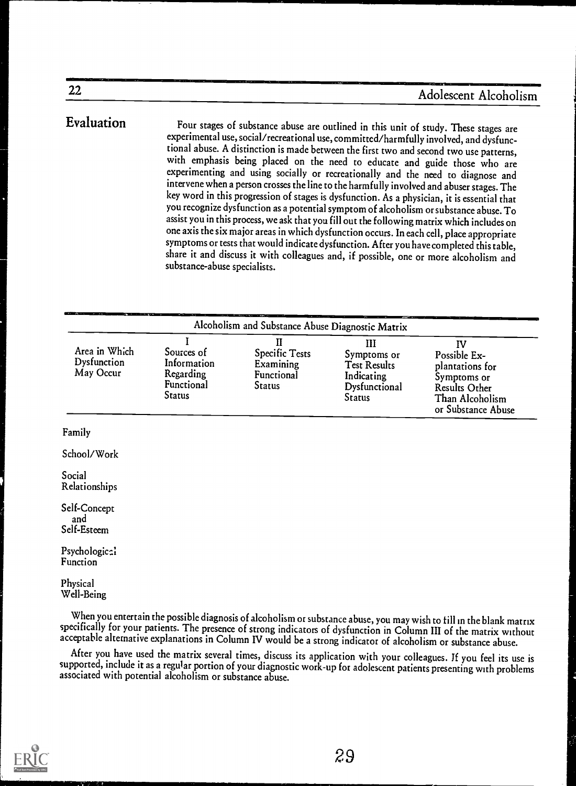Evaluation Four stages of substance abuse are outlined in this unit of study. These stages are experimental use, social/recreational use, committed/harmfully involved, and dysfunctional abuse. A distinction is made between the first two and second two use patterns, with emphasis being placed on the need to educate and guide those who are experimenting and using socially or recreationally and the need to diagnose and intervene when a person crosses the line to the harmfully involved and abuser stages. The key word in this progression of stages is dysfunction. As a physician, it is essential that you recognize dysfunction as a potential symptom of alcoholismor substance abuse. To assist you in this process, we ask that you fill out the following matrix which includes on one axis the six major areas in which dysfunction occurs. In each cell, place appropriate symptoms or tests that would indicate dysfunction. After you have completed this table, share it and discuss it with colleagues and, if possible, one or more alcoholism and substance-abuse specialists.

|                                           | Alcoholism and Substance Abuse Diagnostic Matrix               |                                                                 |                                                                                  |                                                                                                                       |  |  |  |
|-------------------------------------------|----------------------------------------------------------------|-----------------------------------------------------------------|----------------------------------------------------------------------------------|-----------------------------------------------------------------------------------------------------------------------|--|--|--|
| Area in Which<br>Dysfunction<br>May Occur | Sources of<br>Information<br>Regarding<br>Functional<br>Status | П<br><b>Specific Tests</b><br>Examining<br>Functional<br>Status | Ш<br>Symptoms or<br><b>Test Results</b><br>Indicating<br>Dysfunctional<br>Status | IV<br>Possible Ex-<br>plantations for<br>Symptoms or<br><b>Results Other</b><br>Than Alcoholism<br>or Substance Abuse |  |  |  |
| Family<br>School/Work                     |                                                                |                                                                 |                                                                                  |                                                                                                                       |  |  |  |
| Social<br>Relationships                   |                                                                |                                                                 |                                                                                  |                                                                                                                       |  |  |  |
| Self-Concept<br>and<br>Self-Esteem        |                                                                |                                                                 |                                                                                  |                                                                                                                       |  |  |  |

Psychologic<sub>2</sub>? Function

#### Physical Well-Being

When you entertain the possible diagnosis of alcoholism or substance abuse, you may wish to till in the blank matrix

acceptable alternative explanations in Column IV would be a strong indicator of alcoholism or substance abuse.<br>After you have used the matrix several times, discuss its application with your colleagues. If you feel its use supported, include it as a regular portion of your diagnostic work-up for adolescent patients presenting with problems<br>associated with potential alcoholism or substance abuse.